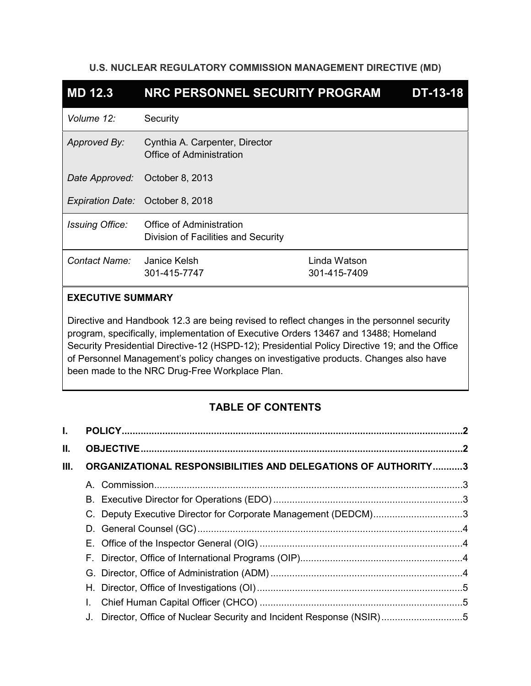## **U.S. NUCLEAR REGULATORY COMMISSION MANAGEMENT DIRECTIVE (MD)**

| <b>MD 12.3</b>         | NRC PERSONNEL SECURITY PROGRAM                                         |                              | <b>DT-13-18</b> |
|------------------------|------------------------------------------------------------------------|------------------------------|-----------------|
| Volume 12:             | Security                                                               |                              |                 |
| Approved By:           | Cynthia A. Carpenter, Director<br>Office of Administration             |                              |                 |
| Date Approved:         | October 8, 2013                                                        |                              |                 |
|                        | Expiration Date: October 8, 2018                                       |                              |                 |
| <b>Issuing Office:</b> | <b>Office of Administration</b><br>Division of Facilities and Security |                              |                 |
| Contact Name:          | Janice Kelsh<br>301-415-7747                                           | Linda Watson<br>301-415-7409 |                 |

# **EXECUTIVE SUMMARY**

Directive and Handbook 12.3 are being revised to reflect changes in the personnel security program, specifically, implementation of Executive Orders 13467 and 13488; Homeland Security Presidential Directive-12 (HSPD-12); Presidential Policy Directive 19; and the Office of Personnel Management's policy changes on investigative products. Changes also have been made to the NRC Drug-Free Workplace Plan.

# **TABLE OF CONTENTS**

| L.   |                                                                       |  |
|------|-----------------------------------------------------------------------|--|
| Ш.   |                                                                       |  |
| III. | ORGANIZATIONAL RESPONSIBILITIES AND DELEGATIONS OF AUTHORITY3         |  |
|      |                                                                       |  |
|      |                                                                       |  |
|      | C. Deputy Executive Director for Corporate Management (DEDCM)3        |  |
|      |                                                                       |  |
|      |                                                                       |  |
|      |                                                                       |  |
|      |                                                                       |  |
|      |                                                                       |  |
|      |                                                                       |  |
|      | J. Director, Office of Nuclear Security and Incident Response (NSIR)5 |  |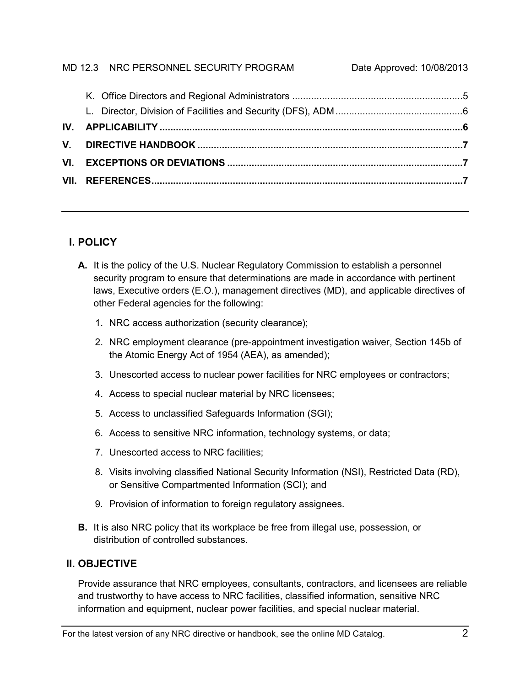## MD 12.3 NRC PERSONNEL SECURITY PROGRAM Date Approved: 10/08/2013

# <span id="page-1-0"></span>**I. POLICY**

- **A.** It is the policy of the U.S. Nuclear Regulatory Commission to establish a personnel security program to ensure that determinations are made in accordance with pertinent laws, Executive orders (E.O.), management directives (MD), and applicable directives of other Federal agencies for the following:
	- 1. NRC access authorization (security clearance);
	- 2. NRC employment clearance (pre-appointment investigation waiver, Section 145b of the Atomic Energy Act of 1954 (AEA), as amended);
	- 3. Unescorted access to nuclear power facilities for NRC employees or contractors;
	- 4. Access to special nuclear material by NRC licensees;
	- 5. Access to unclassified Safeguards Information (SGI);
	- 6. Access to sensitive NRC information, technology systems, or data;
	- 7. Unescorted access to NRC facilities;
	- 8. Visits involving classified National Security Information (NSI), Restricted Data (RD), or Sensitive Compartmented Information (SCI); and
	- 9. Provision of information to foreign regulatory assignees.
- **B.** It is also NRC policy that its workplace be free from illegal use, possession, or distribution of controlled substances.

# <span id="page-1-1"></span>**II. OBJECTIVE**

Provide assurance that NRC employees, consultants, contractors, and licensees are reliable and trustworthy to have access to NRC facilities, classified information, sensitive NRC information and equipment, nuclear power facilities, and special nuclear material.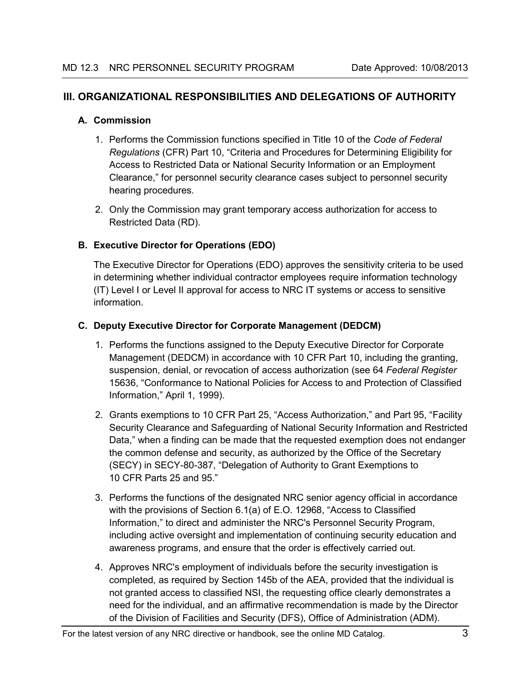# <span id="page-2-0"></span>**III. ORGANIZATIONAL RESPONSIBILITIES AND DELEGATIONS OF AUTHORITY**

### <span id="page-2-1"></span>**A. Commission**

- 1. Performs the Commission functions specified in Title 10 of the *Code of Federal Regulations* (CFR) Part 10, "Criteria and Procedures for Determining Eligibility for Access to Restricted Data or National Security Information or an Employment Clearance," for personnel security clearance cases subject to personnel security hearing procedures.
- 2. Only the Commission may grant temporary access authorization for access to Restricted Data (RD).

# <span id="page-2-2"></span>**B. Executive Director for Operations (EDO)**

The Executive Director for Operations (EDO) approves the sensitivity criteria to be used in determining whether individual contractor employees require information technology (IT) Level I or Level II approval for access to NRC IT systems or access to sensitive information.

# <span id="page-2-3"></span>**C. Deputy Executive Director for Corporate Management (DEDCM)**

- 1. Performs the functions assigned to the Deputy Executive Director for Corporate Management (DEDCM) in accordance with 10 CFR Part 10, including the granting, suspension, denial, or revocation of access authorization (see 64 *Federal Register* 15636, "Conformance to National Policies for Access to and Protection of Classified Information," April 1, 1999).
- 2. Grants exemptions to 10 CFR Part 25, "Access Authorization," and Part 95, "Facility Security Clearance and Safeguarding of National Security Information and Restricted Data," when a finding can be made that the requested exemption does not endanger the common defense and security, as authorized by the Office of the Secretary (SECY) in SECY-80-387, "Delegation of Authority to Grant Exemptions to 10 CFR Parts 25 and 95."
- 3. Performs the functions of the designated NRC senior agency official in accordance with the provisions of Section 6.1(a) of E.O. 12968, "Access to Classified Information," to direct and administer the NRC's Personnel Security Program, including active oversight and implementation of continuing security education and awareness programs, and ensure that the order is effectively carried out.
- 4. Approves NRC's employment of individuals before the security investigation is completed, as required by Section 145b of the AEA, provided that the individual is not granted access to classified NSI, the requesting office clearly demonstrates a need for the individual, and an affirmative recommendation is made by the Director of the Division of Facilities and Security (DFS), Office of Administration (ADM).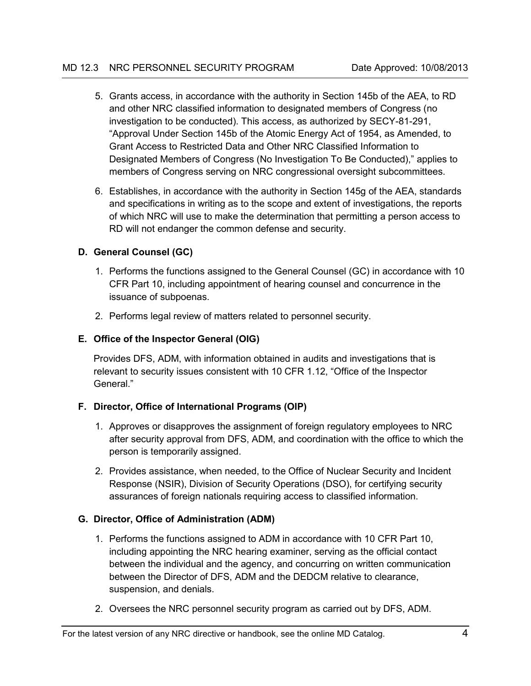- 5. Grants access, in accordance with the authority in Section 145b of the AEA, to RD and other NRC classified information to designated members of Congress (no investigation to be conducted). This access, as authorized by SECY-81-291, "Approval Under Section 145b of the Atomic Energy Act of 1954, as Amended, to Grant Access to Restricted Data and Other NRC Classified Information to Designated Members of Congress (No Investigation To Be Conducted)," applies to members of Congress serving on NRC congressional oversight subcommittees.
- 6. Establishes, in accordance with the authority in Section 145g of the AEA, standards and specifications in writing as to the scope and extent of investigations, the reports of which NRC will use to make the determination that permitting a person access to RD will not endanger the common defense and security.

# <span id="page-3-0"></span>**D. General Counsel (GC)**

- 1. Performs the functions assigned to the General Counsel (GC) in accordance with 10 CFR Part 10, including appointment of hearing counsel and concurrence in the issuance of subpoenas.
- 2. Performs legal review of matters related to personnel security.

# <span id="page-3-1"></span>**E. Office of the Inspector General (OIG)**

Provides DFS, ADM, with information obtained in audits and investigations that is relevant to security issues consistent with 10 CFR 1.12, "Office of the Inspector General."

# <span id="page-3-2"></span>**F. Director, Office of International Programs (OIP)**

- 1. Approves or disapproves the assignment of foreign regulatory employees to NRC after security approval from DFS, ADM, and coordination with the office to which the person is temporarily assigned.
- 2. Provides assistance, when needed, to the Office of Nuclear Security and Incident Response (NSIR), Division of Security Operations (DSO), for certifying security assurances of foreign nationals requiring access to classified information.

# <span id="page-3-3"></span>**G. Director, Office of Administration (ADM)**

- 1. Performs the functions assigned to ADM in accordance with 10 CFR Part 10, including appointing the NRC hearing examiner, serving as the official contact between the individual and the agency, and concurring on written communication between the Director of DFS, ADM and the DEDCM relative to clearance, suspension, and denials.
- 2. Oversees the NRC personnel security program as carried out by DFS, ADM.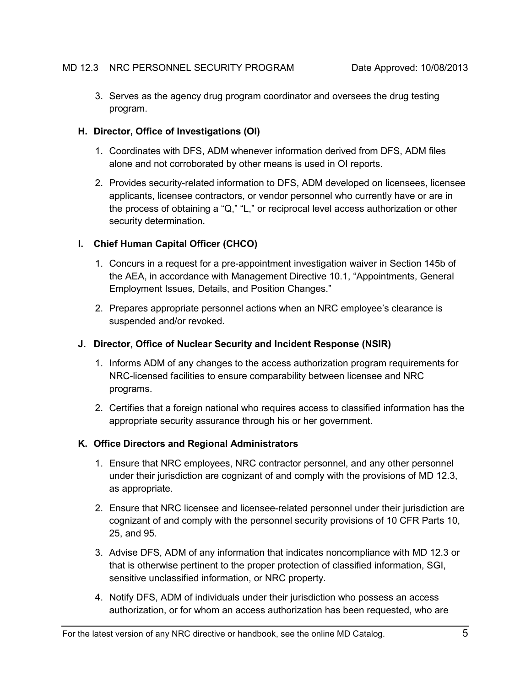3. Serves as the agency drug program coordinator and oversees the drug testing program.

### <span id="page-4-0"></span>**H. Director, Office of Investigations (OI)**

- 1. Coordinates with DFS, ADM whenever information derived from DFS, ADM files alone and not corroborated by other means is used in OI reports.
- 2. Provides security-related information to DFS, ADM developed on licensees, licensee applicants, licensee contractors, or vendor personnel who currently have or are in the process of obtaining a "Q," "L," or reciprocal level access authorization or other security determination.

### <span id="page-4-1"></span>**I. Chief Human Capital Officer (CHCO)**

- 1. Concurs in a request for a pre-appointment investigation waiver in Section 145b of the AEA, in accordance with Management Directive 10.1, "Appointments, General Employment Issues, Details, and Position Changes."
- 2. Prepares appropriate personnel actions when an NRC employee's clearance is suspended and/or revoked.

#### <span id="page-4-2"></span>**J. Director, Office of Nuclear Security and Incident Response (NSIR)**

- 1. Informs ADM of any changes to the access authorization program requirements for NRC-licensed facilities to ensure comparability between licensee and NRC programs.
- 2. Certifies that a foreign national who requires access to classified information has the appropriate security assurance through his or her government.

# <span id="page-4-3"></span>**K. Office Directors and Regional Administrators**

- 1. Ensure that NRC employees, NRC contractor personnel, and any other personnel under their jurisdiction are cognizant of and comply with the provisions of MD 12.3, as appropriate.
- 2. Ensure that NRC licensee and licensee-related personnel under their jurisdiction are cognizant of and comply with the personnel security provisions of 10 CFR Parts 10, 25, and 95.
- 3. Advise DFS, ADM of any information that indicates noncompliance with MD 12.3 or that is otherwise pertinent to the proper protection of classified information, SGI, sensitive unclassified information, or NRC property.
- 4. Notify DFS, ADM of individuals under their jurisdiction who possess an access authorization, or for whom an access authorization has been requested, who are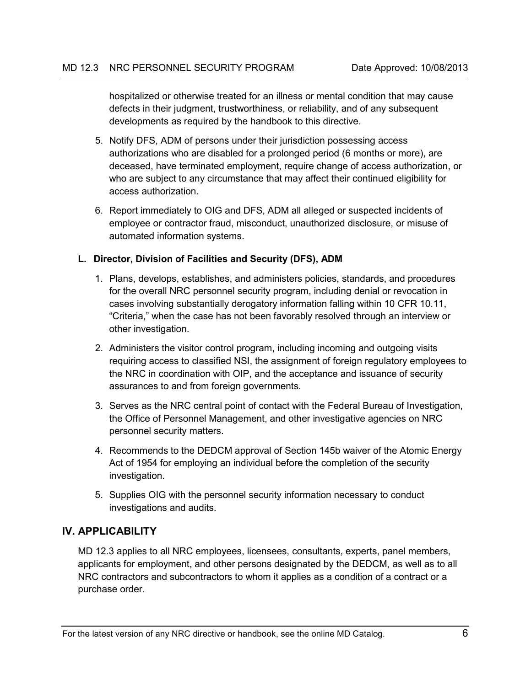hospitalized or otherwise treated for an illness or mental condition that may cause defects in their judgment, trustworthiness, or reliability, and of any subsequent developments as required by the handbook to this directive.

- 5. Notify DFS, ADM of persons under their jurisdiction possessing access authorizations who are disabled for a prolonged period (6 months or more), are deceased, have terminated employment, require change of access authorization, or who are subject to any circumstance that may affect their continued eligibility for access authorization.
- 6. Report immediately to OIG and DFS, ADM all alleged or suspected incidents of employee or contractor fraud, misconduct, unauthorized disclosure, or misuse of automated information systems.

### <span id="page-5-0"></span>**L. Director, Division of Facilities and Security (DFS), ADM**

- 1. Plans, develops, establishes, and administers policies, standards, and procedures for the overall NRC personnel security program, including denial or revocation in cases involving substantially derogatory information falling within 10 CFR 10.11, "Criteria," when the case has not been favorably resolved through an interview or other investigation.
- 2. Administers the visitor control program, including incoming and outgoing visits requiring access to classified NSI, the assignment of foreign regulatory employees to the NRC in coordination with OIP, and the acceptance and issuance of security assurances to and from foreign governments.
- 3. Serves as the NRC central point of contact with the Federal Bureau of Investigation, the Office of Personnel Management, and other investigative agencies on NRC personnel security matters.
- 4. Recommends to the DEDCM approval of Section 145b waiver of the Atomic Energy Act of 1954 for employing an individual before the completion of the security investigation.
- 5. Supplies OIG with the personnel security information necessary to conduct investigations and audits.

# <span id="page-5-1"></span>**IV. APPLICABILITY**

MD 12.3 applies to all NRC employees, licensees, consultants, experts, panel members, applicants for employment, and other persons designated by the DEDCM, as well as to all NRC contractors and subcontractors to whom it applies as a condition of a contract or a purchase order.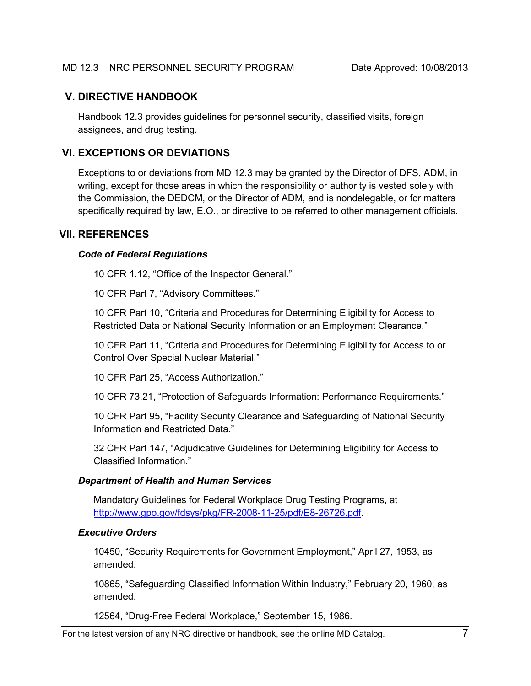### <span id="page-6-0"></span>**V. DIRECTIVE HANDBOOK**

Handbook 12.3 provides guidelines for personnel security, classified visits, foreign assignees, and drug testing.

# <span id="page-6-1"></span>**VI. EXCEPTIONS OR DEVIATIONS**

Exceptions to or deviations from MD 12.3 may be granted by the Director of DFS, ADM, in writing, except for those areas in which the responsibility or authority is vested solely with the Commission, the DEDCM, or the Director of ADM, and is nondelegable, or for matters specifically required by law, E.O., or directive to be referred to other management officials.

### <span id="page-6-2"></span>**VII. REFERENCES**

#### *Code of Federal Regulations*

10 CFR 1.12, "Office of the Inspector General."

10 CFR Part 7, "Advisory Committees."

10 CFR Part 10, "Criteria and Procedures for Determining Eligibility for Access to Restricted Data or National Security Information or an Employment Clearance."

10 CFR Part 11, "Criteria and Procedures for Determining Eligibility for Access to or Control Over Special Nuclear Material."

10 CFR Part 25, "Access Authorization."

10 CFR 73.21, "Protection of Safeguards Information: Performance Requirements."

10 CFR Part 95, "Facility Security Clearance and Safeguarding of National Security Information and Restricted Data."

32 CFR Part 147, "Adjudicative Guidelines for Determining Eligibility for Access to Classified Information."

#### *Department of Health and Human Services*

Mandatory Guidelines for Federal Workplace Drug Testing Programs, at [http://www.gpo.gov/fdsys/pkg/FR-2008-11-25/pdf/E8-26726.pdf.](http://www.gpo.gov/fdsys/pkg/FR-2008-11-25/pdf/E8-26726.pdf)

#### *Executive Orders*

10450, "Security Requirements for Government Employment," April 27, 1953, as amended.

10865, "Safeguarding Classified Information Within Industry," February 20, 1960, as amended.

12564, "Drug-Free Federal Workplace," September 15, 1986.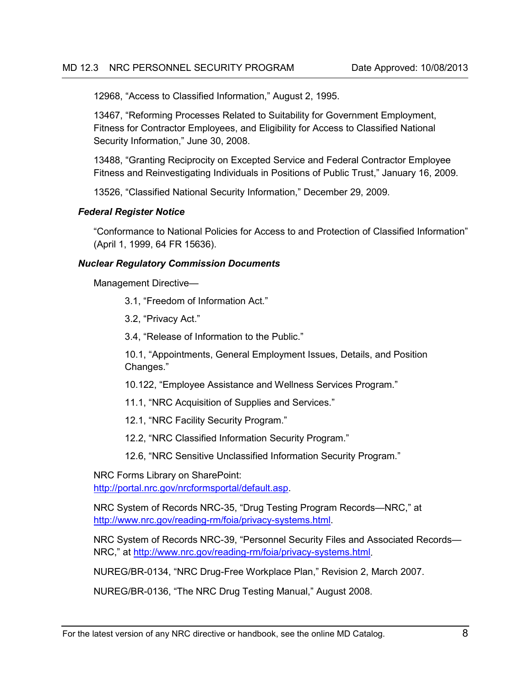12968, "Access to Classified Information," August 2, 1995.

13467, "Reforming Processes Related to Suitability for Government Employment, Fitness for Contractor Employees, and Eligibility for Access to Classified National Security Information," June 30, 2008.

13488, "Granting Reciprocity on Excepted Service and Federal Contractor Employee Fitness and Reinvestigating Individuals in Positions of Public Trust," January 16, 2009.

13526, "Classified National Security Information," December 29, 2009.

#### *Federal Register Notice*

"Conformance to National Policies for Access to and Protection of Classified Information" (April 1, 1999, 64 FR 15636).

#### *Nuclear Regulatory Commission Documents*

Management Directive—

3.1, "Freedom of Information Act."

3.2, "Privacy Act."

3.4, "Release of Information to the Public."

10.1, "Appointments, General Employment Issues, Details, and Position Changes."

10.122, "Employee Assistance and Wellness Services Program."

11.1, "NRC Acquisition of Supplies and Services."

12.1, "NRC Facility Security Program."

12.2, "NRC Classified Information Security Program."

12.6, "NRC Sensitive Unclassified Information Security Program."

NRC Forms Library on SharePoint:

[http://portal.nrc.gov/nrcformsportal/default.asp.](http://portal.nrc.gov/nrcformsportal/default.asp)

NRC System of Records NRC-35, "Drug Testing Program Records—NRC," at [http://www.nrc.gov/reading-rm/foia/privacy-systems.html.](http://www.nrc.gov/reading-rm/foia/privacy-systems.html)

NRC System of Records NRC-39, "Personnel Security Files and Associated Records— NRC," at [http://www.nrc.gov/reading-rm/foia/privacy-systems.html.](http://www.nrc.gov/reading-rm/foia/privacy-systems.html)

NUREG/BR-0134, "NRC Drug-Free Workplace Plan," Revision 2, March 2007.

NUREG/BR-0136, "The NRC Drug Testing Manual," August 2008.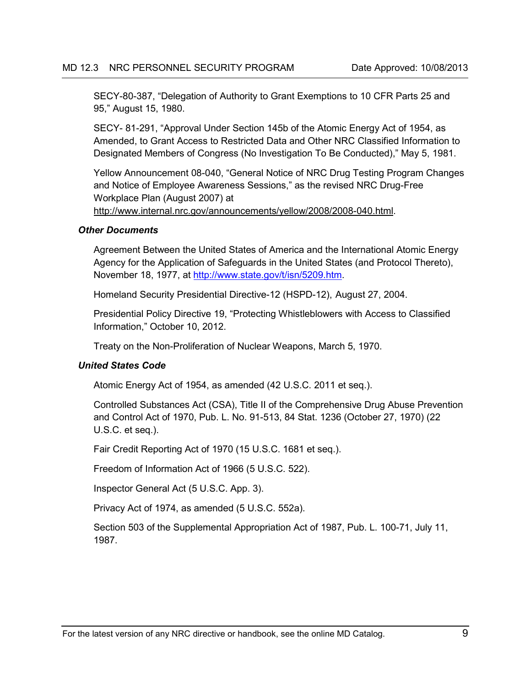SECY-80-387, "Delegation of Authority to Grant Exemptions to 10 CFR Parts 25 and 95," August 15, 1980.

SECY- 81-291, "Approval Under Section 145b of the Atomic Energy Act of 1954, as Amended, to Grant Access to Restricted Data and Other NRC Classified Information to Designated Members of Congress (No Investigation To Be Conducted)," May 5, 1981.

Yellow Announcement 08-040, "General Notice of NRC Drug Testing Program Changes and Notice of Employee Awareness Sessions," as the revised NRC Drug-Free Workplace Plan (August 2007) at

[http://www.internal.nrc.gov/announcements/yellow/2008/2008-040.html.](http://www.internal.nrc.gov/announcements/yellow/2008/2008-040.html)

#### *Other Documents*

Agreement Between the United States of America and the International Atomic Energy Agency for the Application of Safeguards in the United States (and Protocol Thereto), November 18, 1977, at [http://www.state.gov/t/isn/5209.htm.](http://www.state.gov/t/isn/5209.htm)

Homeland Security Presidential Directive-12 (HSPD-12), August 27, 2004.

Presidential Policy Directive 19, "Protecting Whistleblowers with Access to Classified Information," October 10, 2012.

Treaty on the Non-Proliferation of Nuclear Weapons, March 5, 1970.

#### *United States Code*

Atomic Energy Act of 1954, as amended (42 U.S.C. 2011 et seq.).

Controlled Substances Act (CSA), Title II of the Comprehensive Drug Abuse Prevention and Control Act of 1970, Pub. L. No. 91-513, 84 Stat. 1236 (October 27, 1970) (22 U.S.C. et seq.).

Fair Credit Reporting Act of 1970 (15 U.S.C. 1681 et seq.).

Freedom of Information Act of 1966 (5 U.S.C. 522).

Inspector General Act (5 U.S.C. App. 3).

Privacy Act of 1974, as amended (5 U.S.C. 552a).

Section 503 of the Supplemental Appropriation Act of 1987, Pub. L. 100-71, July 11, 1987.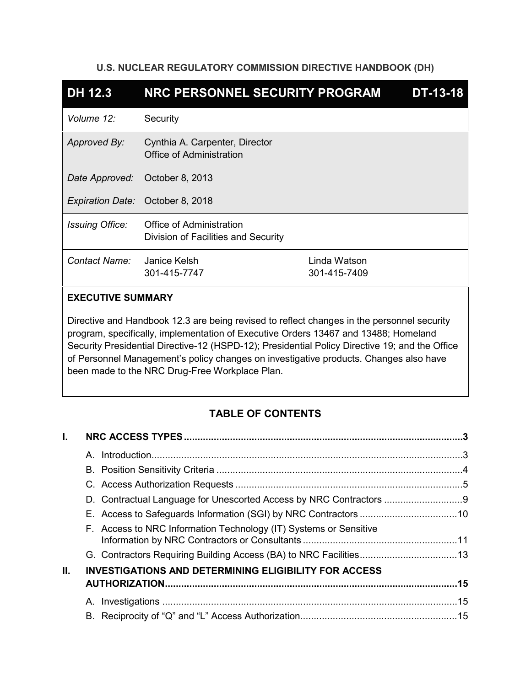## **U.S. NUCLEAR REGULATORY COMMISSION DIRECTIVE HANDBOOK (DH)**

| <b>DH 12.3</b>         | NRC PERSONNEL SECURITY PROGRAM                                    |                              | <b>DT-13-18</b> |
|------------------------|-------------------------------------------------------------------|------------------------------|-----------------|
| Volume 12:             | Security                                                          |                              |                 |
| Approved By:           | Cynthia A. Carpenter, Director<br><b>Office of Administration</b> |                              |                 |
| Date Approved:         | October 8, 2013                                                   |                              |                 |
|                        | Expiration Date: October 8, 2018                                  |                              |                 |
| <b>Issuing Office:</b> | Office of Administration<br>Division of Facilities and Security   |                              |                 |
| Contact Name:          | Janice Kelsh<br>301-415-7747                                      | Linda Watson<br>301-415-7409 |                 |

# **EXECUTIVE SUMMARY**

Directive and Handbook 12.3 are being revised to reflect changes in the personnel security program, specifically, implementation of Executive Orders 13467 and 13488; Homeland Security Presidential Directive-12 (HSPD-12); Presidential Policy Directive 19; and the Office of Personnel Management's policy changes on investigative products. Changes also have been made to the NRC Drug-Free Workplace Plan.

# **TABLE OF CONTENTS**

| L. |   |                                                                   |  |
|----|---|-------------------------------------------------------------------|--|
|    | A | Introduction 3                                                    |  |
|    |   |                                                                   |  |
|    |   |                                                                   |  |
|    |   |                                                                   |  |
|    |   |                                                                   |  |
|    |   | F. Access to NRC Information Technology (IT) Systems or Sensitive |  |
|    |   |                                                                   |  |
| Ш. |   | <b>INVESTIGATIONS AND DETERMINING ELIGIBILITY FOR ACCESS</b>      |  |
|    |   |                                                                   |  |
|    |   |                                                                   |  |
|    |   |                                                                   |  |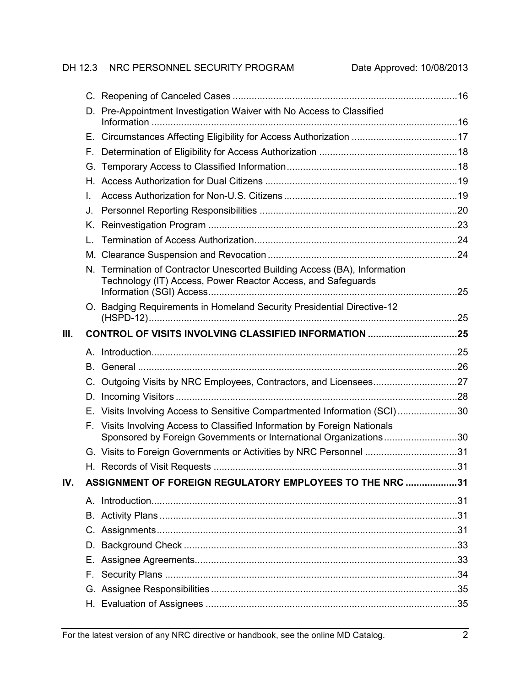# DH 12.3 NRC PERSONNEL SECURITY PROGRAM Date Approved: 10/08/2013

|      |    | D. Pre-Appointment Investigation Waiver with No Access to Classified                                                                        |  |
|------|----|---------------------------------------------------------------------------------------------------------------------------------------------|--|
|      |    |                                                                                                                                             |  |
|      | F. |                                                                                                                                             |  |
|      | G. |                                                                                                                                             |  |
|      |    |                                                                                                                                             |  |
|      | L. |                                                                                                                                             |  |
|      | J. |                                                                                                                                             |  |
|      | Κ. |                                                                                                                                             |  |
|      | L. |                                                                                                                                             |  |
|      |    |                                                                                                                                             |  |
|      |    | N. Termination of Contractor Unescorted Building Access (BA), Information                                                                   |  |
|      |    | Technology (IT) Access, Power Reactor Access, and Safeguards                                                                                |  |
|      |    |                                                                                                                                             |  |
|      |    | O. Badging Requirements in Homeland Security Presidential Directive-12                                                                      |  |
| III. |    | CONTROL OF VISITS INVOLVING CLASSIFIED INFORMATION 25                                                                                       |  |
|      |    |                                                                                                                                             |  |
|      |    |                                                                                                                                             |  |
|      |    |                                                                                                                                             |  |
|      |    |                                                                                                                                             |  |
|      |    |                                                                                                                                             |  |
|      | D. |                                                                                                                                             |  |
|      | Е. | Visits Involving Access to Sensitive Compartmented Information (SCI)30                                                                      |  |
|      | F. | Visits Involving Access to Classified Information by Foreign Nationals<br>Sponsored by Foreign Governments or International Organizations30 |  |
|      |    | G. Visits to Foreign Governments or Activities by NRC Personnel 31                                                                          |  |
|      |    |                                                                                                                                             |  |
| IV.  |    | ASSIGNMENT OF FOREIGN REGULATORY EMPLOYEES TO THE NRC 31                                                                                    |  |
|      |    |                                                                                                                                             |  |
|      | В. |                                                                                                                                             |  |
|      |    |                                                                                                                                             |  |
|      | D. |                                                                                                                                             |  |
|      |    |                                                                                                                                             |  |
|      | F. |                                                                                                                                             |  |
|      |    |                                                                                                                                             |  |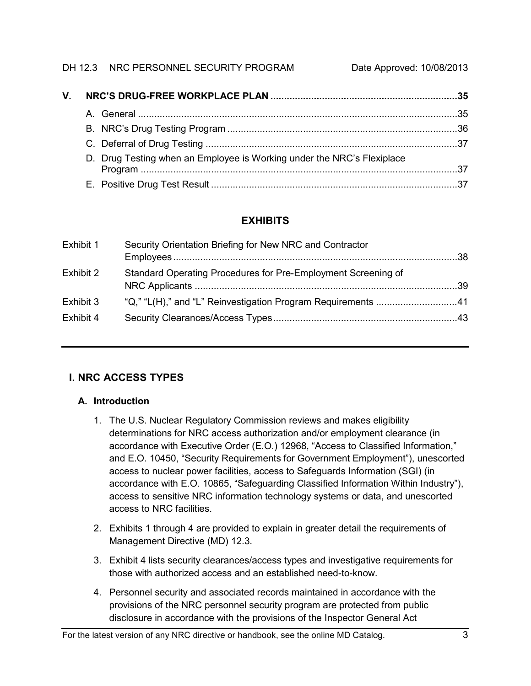#### DH 12.3 NRC PERSONNEL SECURITY PROGRAM Date Approved: 10/08/2013

| $\mathsf{V}_{\mathsf{L}}$ |  |                                                                        |  |
|---------------------------|--|------------------------------------------------------------------------|--|
|                           |  |                                                                        |  |
|                           |  |                                                                        |  |
|                           |  |                                                                        |  |
|                           |  | D. Drug Testing when an Employee is Working under the NRC's Flexiplace |  |
|                           |  |                                                                        |  |

# **EXHIBITS**

# <span id="page-11-0"></span>**I. NRC ACCESS TYPES**

# <span id="page-11-1"></span>**A. Introduction**

- 1. The U.S. Nuclear Regulatory Commission reviews and makes eligibility determinations for NRC access authorization and/or employment clearance (in accordance with Executive Order (E.O.) 12968, "Access to Classified Information," and E.O. 10450, "Security Requirements for Government Employment"), unescorted access to nuclear power facilities, access to Safeguards Information (SGI) (in accordance with E.O. 10865, "Safeguarding Classified Information Within Industry"), access to sensitive NRC information technology systems or data, and unescorted access to NRC facilities.
- 2. Exhibits 1 through 4 are provided to explain in greater detail the requirements of Management Directive (MD) 12.3.
- 3. Exhibit 4 lists security clearances/access types and investigative requirements for those with authorized access and an established need-to-know.
- 4. Personnel security and associated records maintained in accordance with the provisions of the NRC personnel security program are protected from public disclosure in accordance with the provisions of the Inspector General Act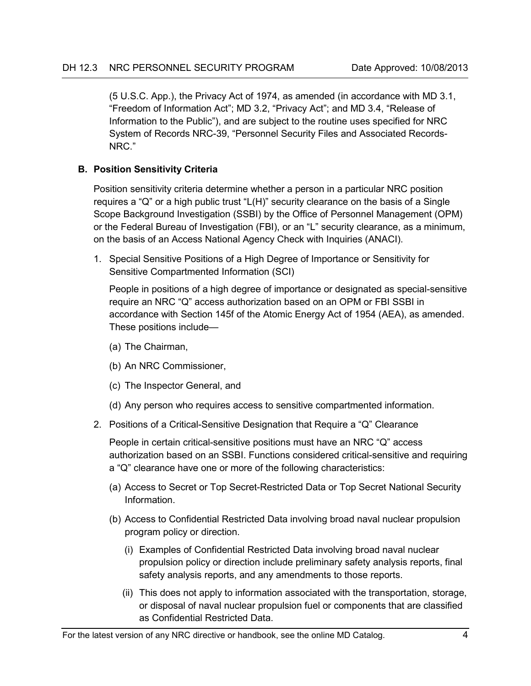(5 U.S.C. App.), the Privacy Act of 1974, as amended (in accordance with MD 3.1, "Freedom of Information Act"; MD 3.2, "Privacy Act"; and MD 3.4, "Release of Information to the Public"), and are subject to the routine uses specified for NRC System of Records NRC-39, "Personnel Security Files and Associated Records-NRC."

# <span id="page-12-0"></span>**B. Position Sensitivity Criteria**

Position sensitivity criteria determine whether a person in a particular NRC position requires a "Q" or a high public trust "L(H)" security clearance on the basis of a Single Scope Background Investigation (SSBI) by the Office of Personnel Management (OPM) or the Federal Bureau of Investigation (FBI), or an "L" security clearance, as a minimum, on the basis of an Access National Agency Check with Inquiries (ANACI).

1. Special Sensitive Positions of a High Degree of Importance or Sensitivity for Sensitive Compartmented Information (SCI)

People in positions of a high degree of importance or designated as special-sensitive require an NRC "Q" access authorization based on an OPM or FBI SSBI in accordance with Section 145f of the Atomic Energy Act of 1954 (AEA), as amended. These positions include—

- (a) The Chairman,
- (b) An NRC Commissioner,
- (c) The Inspector General, and
- (d) Any person who requires access to sensitive compartmented information.
- 2. Positions of a Critical-Sensitive Designation that Require a "Q" Clearance

People in certain critical-sensitive positions must have an NRC "Q" access authorization based on an SSBI. Functions considered critical-sensitive and requiring a "Q" clearance have one or more of the following characteristics:

- (a) Access to Secret or Top Secret-Restricted Data or Top Secret National Security Information.
- (b) Access to Confidential Restricted Data involving broad naval nuclear propulsion program policy or direction.
	- (i) Examples of Confidential Restricted Data involving broad naval nuclear propulsion policy or direction include preliminary safety analysis reports, final safety analysis reports, and any amendments to those reports.
	- (ii) This does not apply to information associated with the transportation, storage, or disposal of naval nuclear propulsion fuel or components that are classified as Confidential Restricted Data.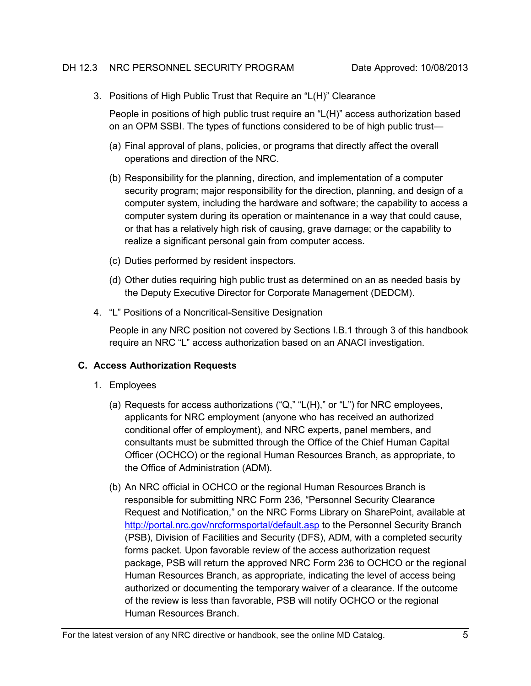3. Positions of High Public Trust that Require an "L(H)" Clearance

People in positions of high public trust require an "L(H)" access authorization based on an OPM SSBI. The types of functions considered to be of high public trust—

- (a) Final approval of plans, policies, or programs that directly affect the overall operations and direction of the NRC.
- (b) Responsibility for the planning, direction, and implementation of a computer security program; major responsibility for the direction, planning, and design of a computer system, including the hardware and software; the capability to access a computer system during its operation or maintenance in a way that could cause, or that has a relatively high risk of causing, grave damage; or the capability to realize a significant personal gain from computer access.
- (c) Duties performed by resident inspectors.
- (d) Other duties requiring high public trust as determined on an as needed basis by the Deputy Executive Director for Corporate Management (DEDCM).
- 4. "L" Positions of a Noncritical-Sensitive Designation

People in any NRC position not covered by Sections I.B.1 through 3 of this handbook require an NRC "L" access authorization based on an ANACI investigation.

# <span id="page-13-0"></span>**C. Access Authorization Requests**

- 1. Employees
	- (a) Requests for access authorizations ("Q," "L(H)," or "L") for NRC employees, applicants for NRC employment (anyone who has received an authorized conditional offer of employment), and NRC experts, panel members, and consultants must be submitted through the Office of the Chief Human Capital Officer (OCHCO) or the regional Human Resources Branch, as appropriate, to the Office of Administration (ADM).
	- (b) An NRC official in OCHCO or the regional Human Resources Branch is responsible for submitting NRC Form 236, "Personnel Security Clearance Request and Notification," on the NRC Forms Library on SharePoint, available at <http://portal.nrc.gov/nrcformsportal/default.asp> to the Personnel Security Branch (PSB), Division of Facilities and Security (DFS), ADM, with a completed security forms packet. Upon favorable review of the access authorization request package, PSB will return the approved NRC Form 236 to OCHCO or the regional Human Resources Branch, as appropriate, indicating the level of access being authorized or documenting the temporary waiver of a clearance. If the outcome of the review is less than favorable, PSB will notify OCHCO or the regional Human Resources Branch.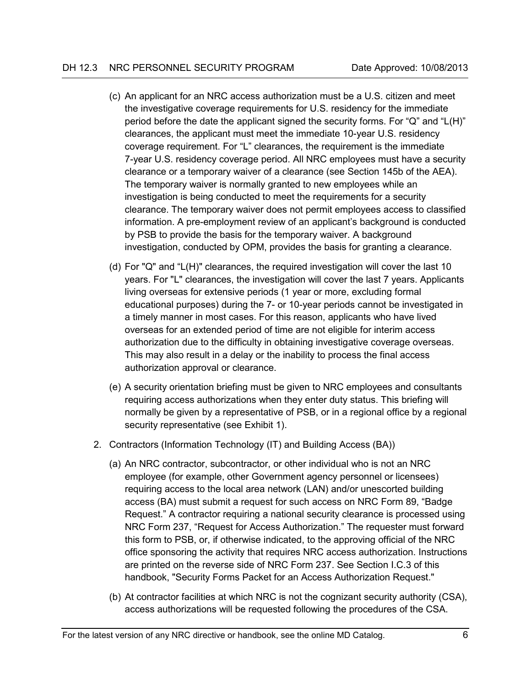- (c) An applicant for an NRC access authorization must be a U.S. citizen and meet the investigative coverage requirements for U.S. residency for the immediate period before the date the applicant signed the security forms. For "Q" and "L(H)" clearances, the applicant must meet the immediate 10-year U.S. residency coverage requirement. For "L" clearances, the requirement is the immediate 7-year U.S. residency coverage period. All NRC employees must have a security clearance or a temporary waiver of a clearance (see Section 145b of the AEA). The temporary waiver is normally granted to new employees while an investigation is being conducted to meet the requirements for a security clearance. The temporary waiver does not permit employees access to classified information. A pre-employment review of an applicant's background is conducted by PSB to provide the basis for the temporary waiver. A background investigation, conducted by OPM, provides the basis for granting a clearance.
- (d) For "Q" and "L(H)" clearances, the required investigation will cover the last 10 years. For "L" clearances, the investigation will cover the last 7 years. Applicants living overseas for extensive periods (1 year or more, excluding formal educational purposes) during the 7- or 10-year periods cannot be investigated in a timely manner in most cases. For this reason, applicants who have lived overseas for an extended period of time are not eligible for interim access authorization due to the difficulty in obtaining investigative coverage overseas. This may also result in a delay or the inability to process the final access authorization approval or clearance.
- (e) A security orientation briefing must be given to NRC employees and consultants requiring access authorizations when they enter duty status. This briefing will normally be given by a representative of PSB, or in a regional office by a regional security representative (see Exhibit 1).
- 2. Contractors (Information Technology (IT) and Building Access (BA))
	- (a) An NRC contractor, subcontractor, or other individual who is not an NRC employee (for example, other Government agency personnel or licensees) requiring access to the local area network (LAN) and/or unescorted building access (BA) must submit a request for such access on NRC Form 89, "Badge Request." A contractor requiring a national security clearance is processed using NRC Form 237, "Request for Access Authorization." The requester must forward this form to PSB, or, if otherwise indicated, to the approving official of the NRC office sponsoring the activity that requires NRC access authorization. Instructions are printed on the reverse side of NRC Form 237. See Section I.C.3 of this handbook, "Security Forms Packet for an Access Authorization Request."
	- (b) At contractor facilities at which NRC is not the cognizant security authority (CSA), access authorizations will be requested following the procedures of the CSA.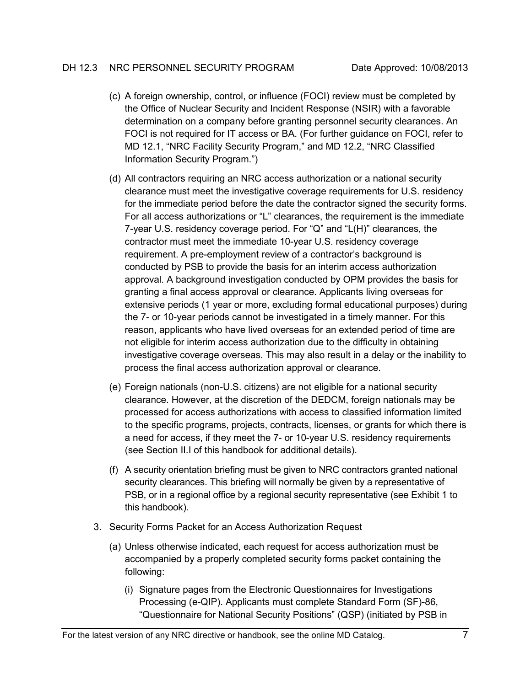- (c) A foreign ownership, control, or influence (FOCI) review must be completed by the Office of Nuclear Security and Incident Response (NSIR) with a favorable determination on a company before granting personnel security clearances. An FOCI is not required for IT access or BA. (For further guidance on FOCI, refer to MD 12.1, "NRC Facility Security Program," and MD 12.2, "NRC Classified Information Security Program.")
- (d) All contractors requiring an NRC access authorization or a national security clearance must meet the investigative coverage requirements for U.S. residency for the immediate period before the date the contractor signed the security forms. For all access authorizations or "L" clearances, the requirement is the immediate 7-year U.S. residency coverage period. For "Q" and "L(H)" clearances, the contractor must meet the immediate 10-year U.S. residency coverage requirement. A pre-employment review of a contractor's background is conducted by PSB to provide the basis for an interim access authorization approval. A background investigation conducted by OPM provides the basis for granting a final access approval or clearance. Applicants living overseas for extensive periods (1 year or more, excluding formal educational purposes) during the 7- or 10-year periods cannot be investigated in a timely manner. For this reason, applicants who have lived overseas for an extended period of time are not eligible for interim access authorization due to the difficulty in obtaining investigative coverage overseas. This may also result in a delay or the inability to process the final access authorization approval or clearance.
- (e) Foreign nationals (non-U.S. citizens) are not eligible for a national security clearance. However, at the discretion of the DEDCM, foreign nationals may be processed for access authorizations with access to classified information limited to the specific programs, projects, contracts, licenses, or grants for which there is a need for access, if they meet the 7- or 10-year U.S. residency requirements (see Section II.I of this handbook for additional details).
- (f) A security orientation briefing must be given to NRC contractors granted national security clearances. This briefing will normally be given by a representative of PSB, or in a regional office by a regional security representative (see Exhibit 1 to this handbook).
- 3. Security Forms Packet for an Access Authorization Request
	- (a) Unless otherwise indicated, each request for access authorization must be accompanied by a properly completed security forms packet containing the following:
		- (i) Signature pages from the Electronic Questionnaires for Investigations Processing (e-QIP). Applicants must complete Standard Form (SF)-86, "Questionnaire for National Security Positions" (QSP) (initiated by PSB in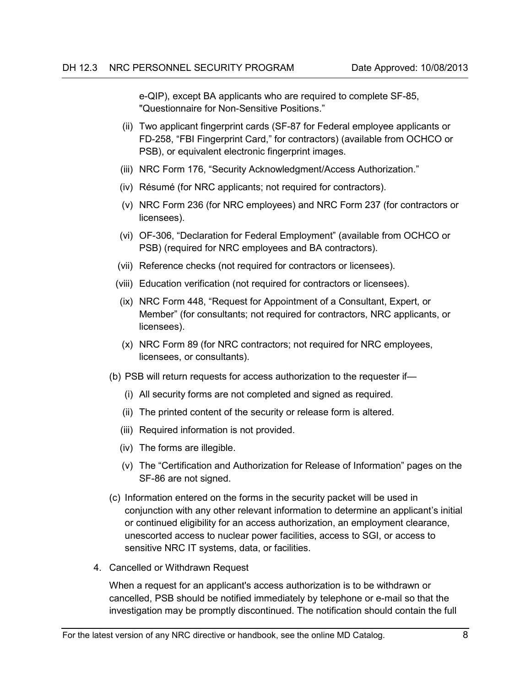e-QIP), except BA applicants who are required to complete SF-85, "Questionnaire for Non-Sensitive Positions."

- (ii) Two applicant fingerprint cards (SF-87 for Federal employee applicants or FD-258, "FBI Fingerprint Card," for contractors) (available from OCHCO or PSB), or equivalent electronic fingerprint images.
- (iii) NRC Form 176, "Security Acknowledgment/Access Authorization."
- (iv) Résumé (for NRC applicants; not required for contractors).
- (v) NRC Form 236 (for NRC employees) and NRC Form 237 (for contractors or licensees).
- (vi) OF-306, "Declaration for Federal Employment" (available from OCHCO or PSB) (required for NRC employees and BA contractors).
- (vii) Reference checks (not required for contractors or licensees).
- (viii) Education verification (not required for contractors or licensees).
- (ix) NRC Form 448, "Request for Appointment of a Consultant, Expert, or Member" (for consultants; not required for contractors, NRC applicants, or licensees).
- (x) NRC Form 89 (for NRC contractors; not required for NRC employees, licensees, or consultants).
- (b) PSB will return requests for access authorization to the requester if—
	- (i) All security forms are not completed and signed as required.
	- (ii) The printed content of the security or release form is altered.
	- (iii) Required information is not provided.
	- (iv) The forms are illegible.
	- (v) The "Certification and Authorization for Release of Information" pages on the SF-86 are not signed.
- (c) Information entered on the forms in the security packet will be used in conjunction with any other relevant information to determine an applicant's initial or continued eligibility for an access authorization, an employment clearance, unescorted access to nuclear power facilities, access to SGI, or access to sensitive NRC IT systems, data, or facilities.
- 4. Cancelled or Withdrawn Request

When a request for an applicant's access authorization is to be withdrawn or cancelled, PSB should be notified immediately by telephone or e-mail so that the investigation may be promptly discontinued. The notification should contain the full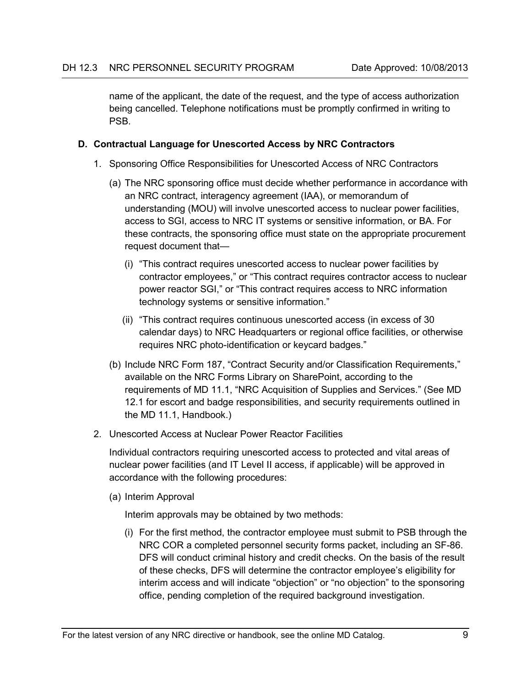name of the applicant, the date of the request, and the type of access authorization being cancelled. Telephone notifications must be promptly confirmed in writing to PSB.

### <span id="page-17-0"></span>**D. Contractual Language for Unescorted Access by NRC Contractors**

- 1. Sponsoring Office Responsibilities for Unescorted Access of NRC Contractors
	- (a) The NRC sponsoring office must decide whether performance in accordance with an NRC contract, interagency agreement (IAA), or memorandum of understanding (MOU) will involve unescorted access to nuclear power facilities, access to SGI, access to NRC IT systems or sensitive information, or BA. For these contracts, the sponsoring office must state on the appropriate procurement request document that—
		- (i) "This contract requires unescorted access to nuclear power facilities by contractor employees," or "This contract requires contractor access to nuclear power reactor SGI," or "This contract requires access to NRC information technology systems or sensitive information."
		- (ii) "This contract requires continuous unescorted access (in excess of 30 calendar days) to NRC Headquarters or regional office facilities, or otherwise requires NRC photo-identification or keycard badges."
	- (b) Include NRC Form 187, "Contract Security and/or Classification Requirements," available on the NRC Forms Library on SharePoint, according to the requirements of MD 11.1, "NRC Acquisition of Supplies and Services." (See MD 12.1 for escort and badge responsibilities, and security requirements outlined in the MD 11.1, Handbook.)
- 2. Unescorted Access at Nuclear Power Reactor Facilities

Individual contractors requiring unescorted access to protected and vital areas of nuclear power facilities (and IT Level II access, if applicable) will be approved in accordance with the following procedures:

(a) Interim Approval

Interim approvals may be obtained by two methods:

(i) For the first method, the contractor employee must submit to PSB through the NRC COR a completed personnel security forms packet, including an SF-86. DFS will conduct criminal history and credit checks. On the basis of the result of these checks, DFS will determine the contractor employee's eligibility for interim access and will indicate "objection" or "no objection" to the sponsoring office, pending completion of the required background investigation.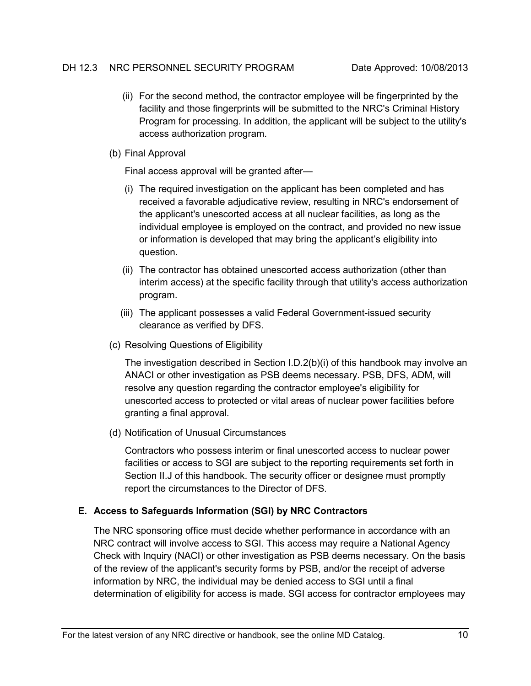- (ii) For the second method, the contractor employee will be fingerprinted by the facility and those fingerprints will be submitted to the NRC's Criminal History Program for processing. In addition, the applicant will be subject to the utility's access authorization program.
- (b) Final Approval

Final access approval will be granted after—

- (i) The required investigation on the applicant has been completed and has received a favorable adjudicative review, resulting in NRC's endorsement of the applicant's unescorted access at all nuclear facilities, as long as the individual employee is employed on the contract, and provided no new issue or information is developed that may bring the applicant's eligibility into question.
- (ii) The contractor has obtained unescorted access authorization (other than interim access) at the specific facility through that utility's access authorization program.
- (iii) The applicant possesses a valid Federal Government-issued security clearance as verified by DFS.
- (c) Resolving Questions of Eligibility

The investigation described in Section I.D.2(b)(i) of this handbook may involve an ANACI or other investigation as PSB deems necessary. PSB, DFS, ADM, will resolve any question regarding the contractor employee's eligibility for unescorted access to protected or vital areas of nuclear power facilities before granting a final approval.

(d) Notification of Unusual Circumstances

Contractors who possess interim or final unescorted access to nuclear power facilities or access to SGI are subject to the reporting requirements set forth in Section II.J of this handbook. The security officer or designee must promptly report the circumstances to the Director of DFS.

# <span id="page-18-0"></span>**E. Access to Safeguards Information (SGI) by NRC Contractors**

The NRC sponsoring office must decide whether performance in accordance with an NRC contract will involve access to SGI. This access may require a National Agency Check with Inquiry (NACI) or other investigation as PSB deems necessary. On the basis of the review of the applicant's security forms by PSB, and/or the receipt of adverse information by NRC, the individual may be denied access to SGI until a final determination of eligibility for access is made. SGI access for contractor employees may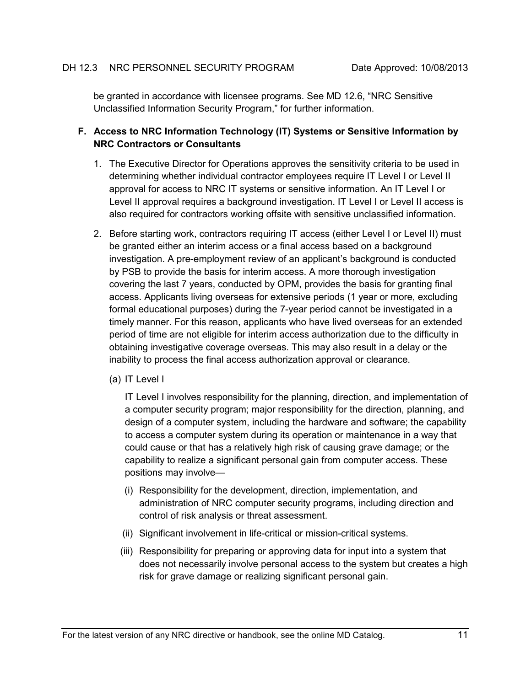be granted in accordance with licensee programs. See MD 12.6, "NRC Sensitive Unclassified Information Security Program," for further information.

## <span id="page-19-0"></span>**F. Access to NRC Information Technology (IT) Systems or Sensitive Information by NRC Contractors or Consultants**

- 1. The Executive Director for Operations approves the sensitivity criteria to be used in determining whether individual contractor employees require IT Level I or Level II approval for access to NRC IT systems or sensitive information. An IT Level I or Level II approval requires a background investigation. IT Level I or Level II access is also required for contractors working offsite with sensitive unclassified information.
- 2. Before starting work, contractors requiring IT access (either Level I or Level II) must be granted either an interim access or a final access based on a background investigation. A pre-employment review of an applicant's background is conducted by PSB to provide the basis for interim access. A more thorough investigation covering the last 7 years, conducted by OPM, provides the basis for granting final access. Applicants living overseas for extensive periods (1 year or more, excluding formal educational purposes) during the 7-year period cannot be investigated in a timely manner. For this reason, applicants who have lived overseas for an extended period of time are not eligible for interim access authorization due to the difficulty in obtaining investigative coverage overseas. This may also result in a delay or the inability to process the final access authorization approval or clearance.
	- (a) IT Level I

IT Level I involves responsibility for the planning, direction, and implementation of a computer security program; major responsibility for the direction, planning, and design of a computer system, including the hardware and software; the capability to access a computer system during its operation or maintenance in a way that could cause or that has a relatively high risk of causing grave damage; or the capability to realize a significant personal gain from computer access. These positions may involve—

- (i) Responsibility for the development, direction, implementation, and administration of NRC computer security programs, including direction and control of risk analysis or threat assessment.
- (ii) Significant involvement in life-critical or mission-critical systems.
- (iii) Responsibility for preparing or approving data for input into a system that does not necessarily involve personal access to the system but creates a high risk for grave damage or realizing significant personal gain.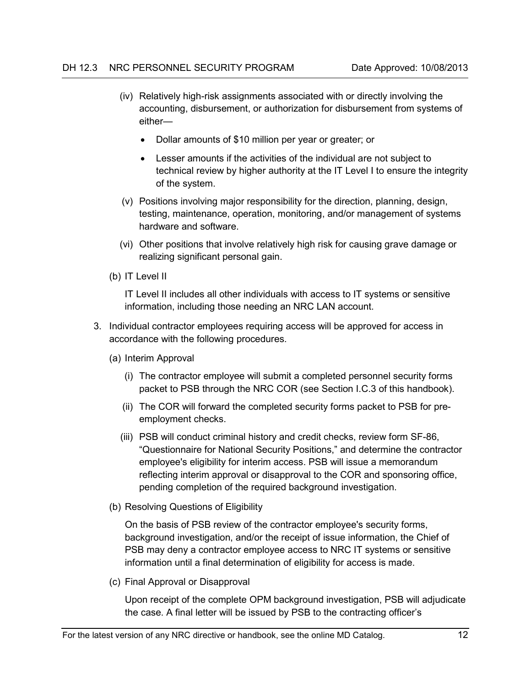- (iv) Relatively high-risk assignments associated with or directly involving the accounting, disbursement, or authorization for disbursement from systems of either—
	- Dollar amounts of \$10 million per year or greater; or
	- Lesser amounts if the activities of the individual are not subject to technical review by higher authority at the IT Level I to ensure the integrity of the system.
- (v) Positions involving major responsibility for the direction, planning, design, testing, maintenance, operation, monitoring, and/or management of systems hardware and software.
- (vi) Other positions that involve relatively high risk for causing grave damage or realizing significant personal gain.
- (b) IT Level II

IT Level II includes all other individuals with access to IT systems or sensitive information, including those needing an NRC LAN account.

- 3. Individual contractor employees requiring access will be approved for access in accordance with the following procedures.
	- (a) Interim Approval
		- (i) The contractor employee will submit a completed personnel security forms packet to PSB through the NRC COR (see Section I.C.3 of this handbook).
		- (ii) The COR will forward the completed security forms packet to PSB for preemployment checks.
		- (iii) PSB will conduct criminal history and credit checks, review form SF-86, "Questionnaire for National Security Positions," and determine the contractor employee's eligibility for interim access. PSB will issue a memorandum reflecting interim approval or disapproval to the COR and sponsoring office, pending completion of the required background investigation.
	- (b) Resolving Questions of Eligibility

On the basis of PSB review of the contractor employee's security forms, background investigation, and/or the receipt of issue information, the Chief of PSB may deny a contractor employee access to NRC IT systems or sensitive information until a final determination of eligibility for access is made.

(c) Final Approval or Disapproval

Upon receipt of the complete OPM background investigation, PSB will adjudicate the case. A final letter will be issued by PSB to the contracting officer's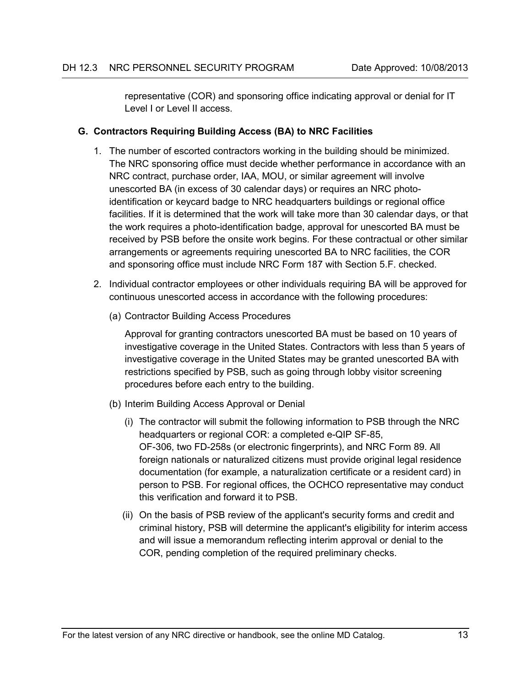representative (COR) and sponsoring office indicating approval or denial for IT Level I or Level II access.

## <span id="page-21-0"></span>**G. Contractors Requiring Building Access (BA) to NRC Facilities**

- 1. The number of escorted contractors working in the building should be minimized. The NRC sponsoring office must decide whether performance in accordance with an NRC contract, purchase order, IAA, MOU, or similar agreement will involve unescorted BA (in excess of 30 calendar days) or requires an NRC photoidentification or keycard badge to NRC headquarters buildings or regional office facilities. If it is determined that the work will take more than 30 calendar days, or that the work requires a photo-identification badge, approval for unescorted BA must be received by PSB before the onsite work begins. For these contractual or other similar arrangements or agreements requiring unescorted BA to NRC facilities, the COR and sponsoring office must include NRC Form 187 with Section 5.F. checked.
- 2. Individual contractor employees or other individuals requiring BA will be approved for continuous unescorted access in accordance with the following procedures:
	- (a) Contractor Building Access Procedures

Approval for granting contractors unescorted BA must be based on 10 years of investigative coverage in the United States. Contractors with less than 5 years of investigative coverage in the United States may be granted unescorted BA with restrictions specified by PSB, such as going through lobby visitor screening procedures before each entry to the building.

- (b) Interim Building Access Approval or Denial
	- (i) The contractor will submit the following information to PSB through the NRC headquarters or regional COR: a completed e-QIP SF-85, OF-306, two FD-258s (or electronic fingerprints), and NRC Form 89. All foreign nationals or naturalized citizens must provide original legal residence documentation (for example, a naturalization certificate or a resident card) in person to PSB. For regional offices, the OCHCO representative may conduct this verification and forward it to PSB.
	- (ii) On the basis of PSB review of the applicant's security forms and credit and criminal history, PSB will determine the applicant's eligibility for interim access and will issue a memorandum reflecting interim approval or denial to the COR, pending completion of the required preliminary checks.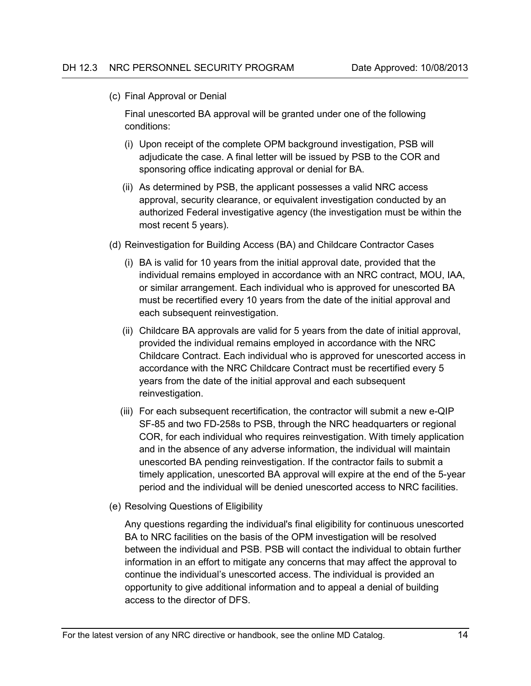(c) Final Approval or Denial

Final unescorted BA approval will be granted under one of the following conditions:

- (i) Upon receipt of the complete OPM background investigation, PSB will adjudicate the case. A final letter will be issued by PSB to the COR and sponsoring office indicating approval or denial for BA.
- (ii) As determined by PSB, the applicant possesses a valid NRC access approval, security clearance, or equivalent investigation conducted by an authorized Federal investigative agency (the investigation must be within the most recent 5 years).
- (d) Reinvestigation for Building Access (BA) and Childcare Contractor Cases
	- (i) BA is valid for 10 years from the initial approval date, provided that the individual remains employed in accordance with an NRC contract, MOU, IAA, or similar arrangement. Each individual who is approved for unescorted BA must be recertified every 10 years from the date of the initial approval and each subsequent reinvestigation.
	- (ii) Childcare BA approvals are valid for 5 years from the date of initial approval, provided the individual remains employed in accordance with the NRC Childcare Contract. Each individual who is approved for unescorted access in accordance with the NRC Childcare Contract must be recertified every 5 years from the date of the initial approval and each subsequent reinvestigation.
	- (iii) For each subsequent recertification, the contractor will submit a new e-QIP SF-85 and two FD-258s to PSB, through the NRC headquarters or regional COR, for each individual who requires reinvestigation. With timely application and in the absence of any adverse information, the individual will maintain unescorted BA pending reinvestigation. If the contractor fails to submit a timely application, unescorted BA approval will expire at the end of the 5-year period and the individual will be denied unescorted access to NRC facilities.
- (e) Resolving Questions of Eligibility

Any questions regarding the individual's final eligibility for continuous unescorted BA to NRC facilities on the basis of the OPM investigation will be resolved between the individual and PSB. PSB will contact the individual to obtain further information in an effort to mitigate any concerns that may affect the approval to continue the individual's unescorted access. The individual is provided an opportunity to give additional information and to appeal a denial of building access to the director of DFS.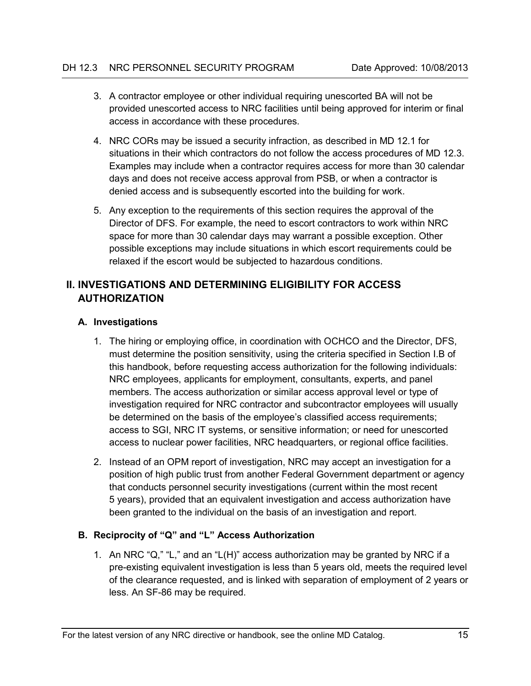- 3. A contractor employee or other individual requiring unescorted BA will not be provided unescorted access to NRC facilities until being approved for interim or final access in accordance with these procedures.
- 4. NRC CORs may be issued a security infraction, as described in MD 12.1 for situations in their which contractors do not follow the access procedures of MD 12.3. Examples may include when a contractor requires access for more than 30 calendar days and does not receive access approval from PSB, or when a contractor is denied access and is subsequently escorted into the building for work.
- 5. Any exception to the requirements of this section requires the approval of the Director of DFS. For example, the need to escort contractors to work within NRC space for more than 30 calendar days may warrant a possible exception. Other possible exceptions may include situations in which escort requirements could be relaxed if the escort would be subjected to hazardous conditions.

# <span id="page-23-0"></span>**II. INVESTIGATIONS AND DETERMINING ELIGIBILITY FOR ACCESS AUTHORIZATION**

### <span id="page-23-1"></span>**A. Investigations**

- 1. The hiring or employing office, in coordination with OCHCO and the Director, DFS, must determine the position sensitivity, using the criteria specified in Section I.B of this handbook, before requesting access authorization for the following individuals: NRC employees, applicants for employment, consultants, experts, and panel members. The access authorization or similar access approval level or type of investigation required for NRC contractor and subcontractor employees will usually be determined on the basis of the employee's classified access requirements; access to SGI, NRC IT systems, or sensitive information; or need for unescorted access to nuclear power facilities, NRC headquarters, or regional office facilities.
- 2. Instead of an OPM report of investigation, NRC may accept an investigation for a position of high public trust from another Federal Government department or agency that conducts personnel security investigations (current within the most recent 5 years), provided that an equivalent investigation and access authorization have been granted to the individual on the basis of an investigation and report.

# <span id="page-23-2"></span>**B. Reciprocity of "Q" and "L" Access Authorization**

1. An NRC "Q," "L," and an "L(H)" access authorization may be granted by NRC if a pre-existing equivalent investigation is less than 5 years old, meets the required level of the clearance requested, and is linked with separation of employment of 2 years or less. An SF-86 may be required.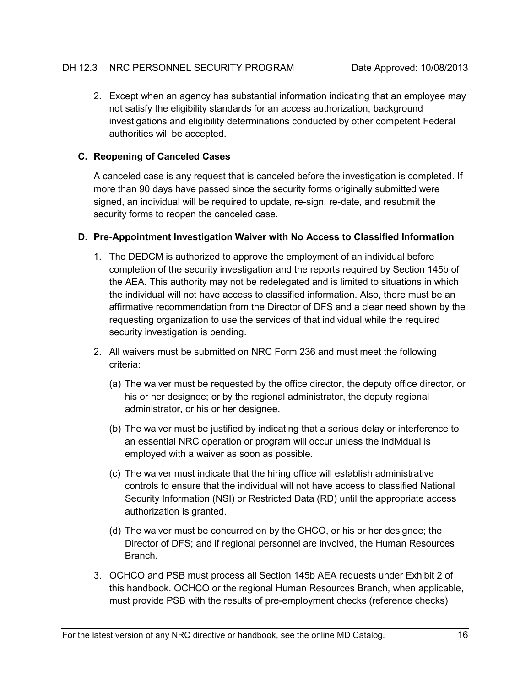2. Except when an agency has substantial information indicating that an employee may not satisfy the eligibility standards for an access authorization, background investigations and eligibility determinations conducted by other competent Federal authorities will be accepted.

### <span id="page-24-0"></span>**C. Reopening of Canceled Cases**

A canceled case is any request that is canceled before the investigation is completed. If more than 90 days have passed since the security forms originally submitted were signed, an individual will be required to update, re-sign, re-date, and resubmit the security forms to reopen the canceled case.

#### <span id="page-24-1"></span>**D. Pre-Appointment Investigation Waiver with No Access to Classified Information**

- 1. The DEDCM is authorized to approve the employment of an individual before completion of the security investigation and the reports required by Section 145b of the AEA. This authority may not be redelegated and is limited to situations in which the individual will not have access to classified information. Also, there must be an affirmative recommendation from the Director of DFS and a clear need shown by the requesting organization to use the services of that individual while the required security investigation is pending.
- 2. All waivers must be submitted on NRC Form 236 and must meet the following criteria:
	- (a) The waiver must be requested by the office director, the deputy office director, or his or her designee; or by the regional administrator, the deputy regional administrator, or his or her designee.
	- (b) The waiver must be justified by indicating that a serious delay or interference to an essential NRC operation or program will occur unless the individual is employed with a waiver as soon as possible.
	- (c) The waiver must indicate that the hiring office will establish administrative controls to ensure that the individual will not have access to classified National Security Information (NSI) or Restricted Data (RD) until the appropriate access authorization is granted.
	- (d) The waiver must be concurred on by the CHCO, or his or her designee; the Director of DFS; and if regional personnel are involved, the Human Resources Branch.
- 3. OCHCO and PSB must process all Section 145b AEA requests under Exhibit 2 of this handbook. OCHCO or the regional Human Resources Branch, when applicable, must provide PSB with the results of pre-employment checks (reference checks)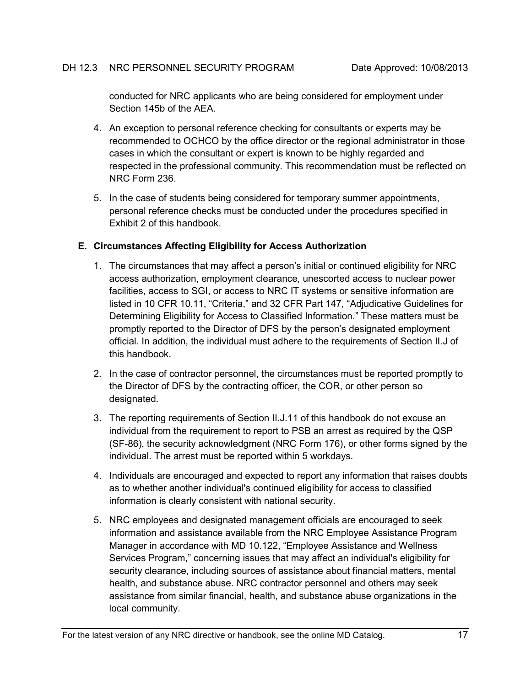conducted for NRC applicants who are being considered for employment under Section 145b of the AEA.

- 4. An exception to personal reference checking for consultants or experts may be recommended to OCHCO by the office director or the regional administrator in those cases in which the consultant or expert is known to be highly regarded and respected in the professional community. This recommendation must be reflected on NRC Form 236.
- 5. In the case of students being considered for temporary summer appointments, personal reference checks must be conducted under the procedures specified in Exhibit 2 of this handbook.

### <span id="page-25-0"></span>**E. Circumstances Affecting Eligibility for Access Authorization**

- 1. The circumstances that may affect a person's initial or continued eligibility for NRC access authorization, employment clearance, unescorted access to nuclear power facilities, access to SGI, or access to NRC IT systems or sensitive information are listed in 10 CFR 10.11, "Criteria," and 32 CFR Part 147, "Adjudicative Guidelines for Determining Eligibility for Access to Classified Information." These matters must be promptly reported to the Director of DFS by the person's designated employment official. In addition, the individual must adhere to the requirements of Section II.J of this handbook.
- 2. In the case of contractor personnel, the circumstances must be reported promptly to the Director of DFS by the contracting officer, the COR, or other person so designated.
- 3. The reporting requirements of Section II.J.11 of this handbook do not excuse an individual from the requirement to report to PSB an arrest as required by the QSP (SF-86), the security acknowledgment (NRC Form 176), or other forms signed by the individual. The arrest must be reported within 5 workdays.
- 4. Individuals are encouraged and expected to report any information that raises doubts as to whether another individual's continued eligibility for access to classified information is clearly consistent with national security.
- 5. NRC employees and designated management officials are encouraged to seek information and assistance available from the NRC Employee Assistance Program Manager in accordance with MD 10.122, "Employee Assistance and Wellness Services Program," concerning issues that may affect an individual's eligibility for security clearance, including sources of assistance about financial matters, mental health, and substance abuse. NRC contractor personnel and others may seek assistance from similar financial, health, and substance abuse organizations in the local community.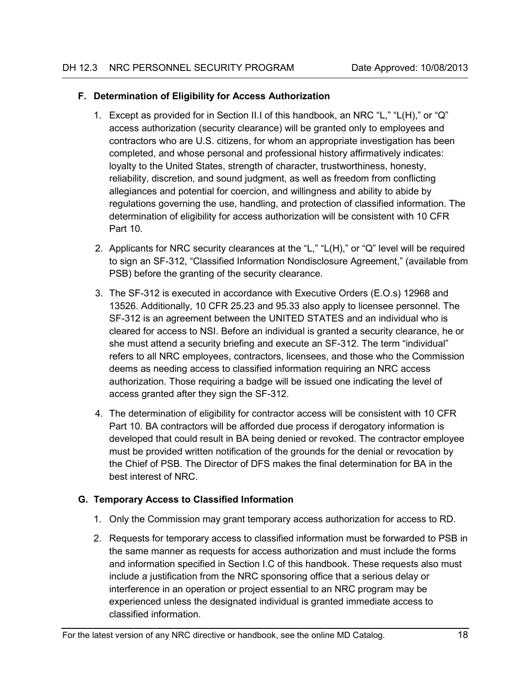#### <span id="page-26-0"></span>**F. Determination of Eligibility for Access Authorization**

- 1. Except as provided for in Section II.I of this handbook, an NRC "L," "L(H)," or "Q" access authorization (security clearance) will be granted only to employees and contractors who are U.S. citizens, for whom an appropriate investigation has been completed, and whose personal and professional history affirmatively indicates: loyalty to the United States, strength of character, trustworthiness, honesty, reliability, discretion, and sound judgment, as well as freedom from conflicting allegiances and potential for coercion, and willingness and ability to abide by regulations governing the use, handling, and protection of classified information. The determination of eligibility for access authorization will be consistent with 10 CFR Part 10.
- 2. Applicants for NRC security clearances at the "L," "L(H)," or "Q" level will be required to sign an SF-312, "Classified Information Nondisclosure Agreement," (available from PSB) before the granting of the security clearance.
- 3. The SF-312 is executed in accordance with Executive Orders (E.O.s) 12968 and 13526. Additionally, 10 CFR 25.23 and 95.33 also apply to licensee personnel. The SF-312 is an agreement between the UNITED STATES and an individual who is cleared for access to NSI. Before an individual is granted a security clearance, he or she must attend a security briefing and execute an SF-312. The term "individual" refers to all NRC employees, contractors, licensees, and those who the Commission deems as needing access to classified information requiring an NRC access authorization. Those requiring a badge will be issued one indicating the level of access granted after they sign the SF-312.
- 4. The determination of eligibility for contractor access will be consistent with 10 CFR Part 10. BA contractors will be afforded due process if derogatory information is developed that could result in BA being denied or revoked. The contractor employee must be provided written notification of the grounds for the denial or revocation by the Chief of PSB. The Director of DFS makes the final determination for BA in the best interest of NRC.

# <span id="page-26-1"></span>**G. Temporary Access to Classified Information**

- 1. Only the Commission may grant temporary access authorization for access to RD.
- 2. Requests for temporary access to classified information must be forwarded to PSB in the same manner as requests for access authorization and must include the forms and information specified in Section I.C of this handbook. These requests also must include a justification from the NRC sponsoring office that a serious delay or interference in an operation or project essential to an NRC program may be experienced unless the designated individual is granted immediate access to classified information.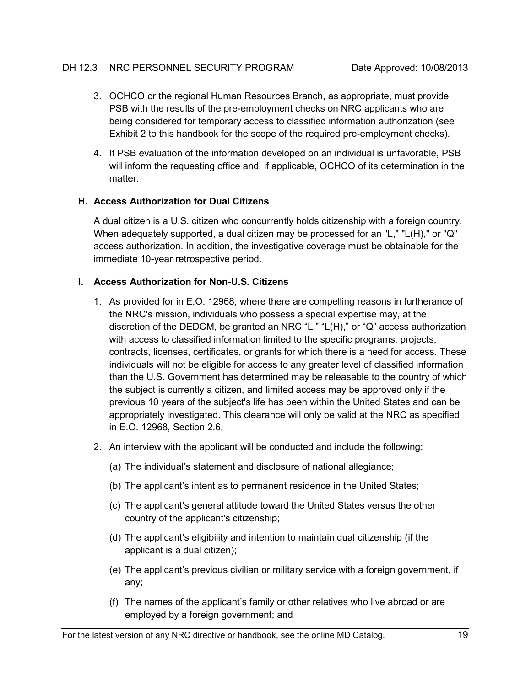- 3. OCHCO or the regional Human Resources Branch, as appropriate, must provide PSB with the results of the pre-employment checks on NRC applicants who are being considered for temporary access to classified information authorization (see Exhibit 2 to this handbook for the scope of the required pre-employment checks).
- 4. If PSB evaluation of the information developed on an individual is unfavorable, PSB will inform the requesting office and, if applicable, OCHCO of its determination in the matter.

### <span id="page-27-0"></span>**H. Access Authorization for Dual Citizens**

A dual citizen is a U.S. citizen who concurrently holds citizenship with a foreign country. When adequately supported, a dual citizen may be processed for an "L," "L(H)," or "Q" access authorization. In addition, the investigative coverage must be obtainable for the immediate 10-year retrospective period.

### <span id="page-27-1"></span>**I. Access Authorization for Non-U.S. Citizens**

- 1. As provided for in E.O. 12968, where there are compelling reasons in furtherance of the NRC's mission, individuals who possess a special expertise may, at the discretion of the DEDCM, be granted an NRC "L," "L(H)," or "Q" access authorization with access to classified information limited to the specific programs, projects, contracts, licenses, certificates, or grants for which there is a need for access. These individuals will not be eligible for access to any greater level of classified information than the U.S. Government has determined may be releasable to the country of which the subject is currently a citizen, and limited access may be approved only if the previous 10 years of the subject's life has been within the United States and can be appropriately investigated. This clearance will only be valid at the NRC as specified in E.O. 12968, Section 2.6.
- 2. An interview with the applicant will be conducted and include the following:
	- (a) The individual's statement and disclosure of national allegiance;
	- (b) The applicant's intent as to permanent residence in the United States;
	- (c) The applicant's general attitude toward the United States versus the other country of the applicant's citizenship;
	- (d) The applicant's eligibility and intention to maintain dual citizenship (if the applicant is a dual citizen);
	- (e) The applicant's previous civilian or military service with a foreign government, if any;
	- (f) The names of the applicant's family or other relatives who live abroad or are employed by a foreign government; and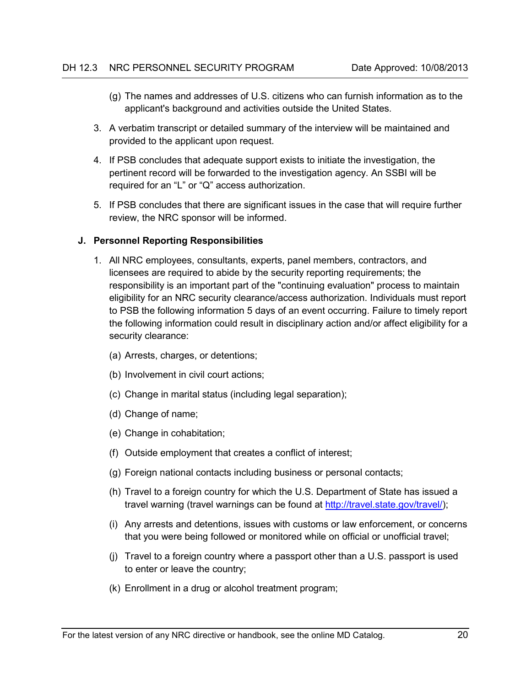- (g) The names and addresses of U.S. citizens who can furnish information as to the applicant's background and activities outside the United States.
- 3. A verbatim transcript or detailed summary of the interview will be maintained and provided to the applicant upon request.
- 4. If PSB concludes that adequate support exists to initiate the investigation, the pertinent record will be forwarded to the investigation agency. An SSBI will be required for an "L" or "Q" access authorization.
- 5. If PSB concludes that there are significant issues in the case that will require further review, the NRC sponsor will be informed.

#### <span id="page-28-0"></span>**J. Personnel Reporting Responsibilities**

- 1. All NRC employees, consultants, experts, panel members, contractors, and licensees are required to abide by the security reporting requirements; the responsibility is an important part of the "continuing evaluation" process to maintain eligibility for an NRC security clearance/access authorization. Individuals must report to PSB the following information 5 days of an event occurring. Failure to timely report the following information could result in disciplinary action and/or affect eligibility for a security clearance:
	- (a) Arrests, charges, or detentions;
	- (b) Involvement in civil court actions;
	- (c) Change in marital status (including legal separation);
	- (d) Change of name;
	- (e) Change in cohabitation;
	- (f) Outside employment that creates a conflict of interest;
	- (g) Foreign national contacts including business or personal contacts;
	- (h) Travel to a foreign country for which the U.S. Department of State has issued a travel warning (travel warnings can be found at [http://travel.state.gov/travel/\)](http://travel.state.gov/travel/);
	- (i) Any arrests and detentions, issues with customs or law enforcement, or concerns that you were being followed or monitored while on official or unofficial travel;
	- (j) Travel to a foreign country where a passport other than a U.S. passport is used to enter or leave the country;
	- (k) Enrollment in a drug or alcohol treatment program;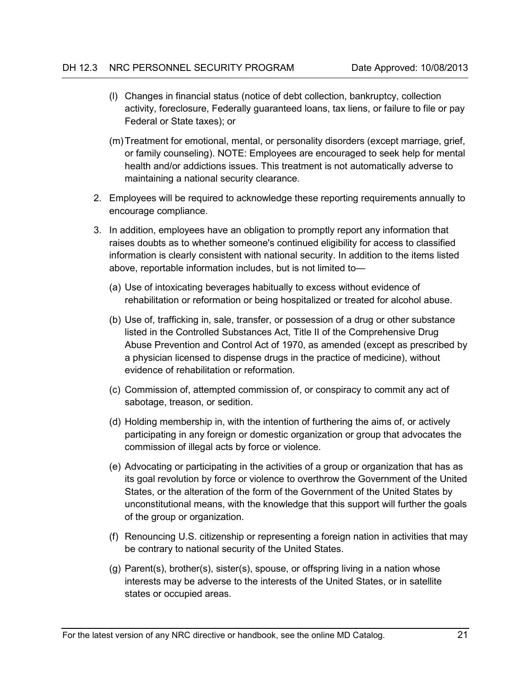- (l) Changes in financial status (notice of debt collection, bankruptcy, collection activity, foreclosure, Federally guaranteed loans, tax liens, or failure to file or pay Federal or State taxes); or
- (m)Treatment for emotional, mental, or personality disorders (except marriage, grief, or family counseling). NOTE: Employees are encouraged to seek help for mental health and/or addictions issues. This treatment is not automatically adverse to maintaining a national security clearance.
- 2. Employees will be required to acknowledge these reporting requirements annually to encourage compliance.
- 3. In addition, employees have an obligation to promptly report any information that raises doubts as to whether someone's continued eligibility for access to classified information is clearly consistent with national security. In addition to the items listed above, reportable information includes, but is not limited to—
	- (a) Use of intoxicating beverages habitually to excess without evidence of rehabilitation or reformation or being hospitalized or treated for alcohol abuse.
	- (b) Use of, trafficking in, sale, transfer, or possession of a drug or other substance listed in the Controlled Substances Act, Title II of the Comprehensive Drug Abuse Prevention and Control Act of 1970, as amended (except as prescribed by a physician licensed to dispense drugs in the practice of medicine), without evidence of rehabilitation or reformation.
	- (c) Commission of, attempted commission of, or conspiracy to commit any act of sabotage, treason, or sedition.
	- (d) Holding membership in, with the intention of furthering the aims of, or actively participating in any foreign or domestic organization or group that advocates the commission of illegal acts by force or violence.
	- (e) Advocating or participating in the activities of a group or organization that has as its goal revolution by force or violence to overthrow the Government of the United States, or the alteration of the form of the Government of the United States by unconstitutional means, with the knowledge that this support will further the goals of the group or organization.
	- (f) Renouncing U.S. citizenship or representing a foreign nation in activities that may be contrary to national security of the United States.
	- (g) Parent(s), brother(s), sister(s), spouse, or offspring living in a nation whose interests may be adverse to the interests of the United States, or in satellite states or occupied areas.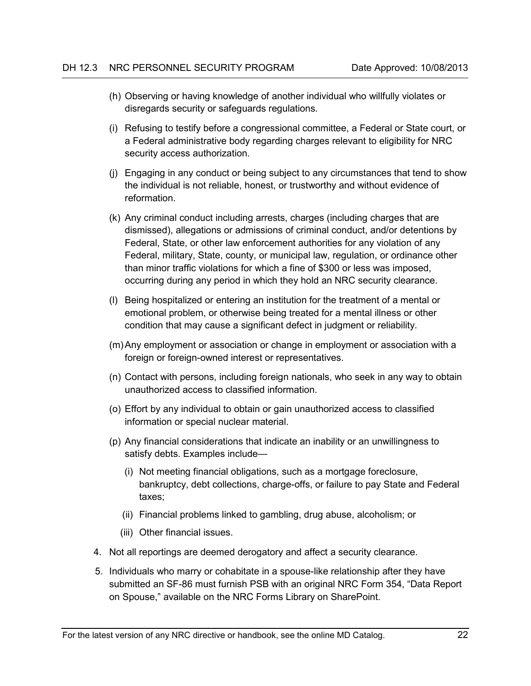- (h) Observing or having knowledge of another individual who willfully violates or disregards security or safeguards regulations.
- (i) Refusing to testify before a congressional committee, a Federal or State court, or a Federal administrative body regarding charges relevant to eligibility for NRC security access authorization.
- (j) Engaging in any conduct or being subject to any circumstances that tend to show the individual is not reliable, honest, or trustworthy and without evidence of reformation.
- (k) Any criminal conduct including arrests, charges (including charges that are dismissed), allegations or admissions of criminal conduct, and/or detentions by Federal, State, or other law enforcement authorities for any violation of any Federal, military, State, county, or municipal law, regulation, or ordinance other than minor traffic violations for which a fine of \$300 or less was imposed, occurring during any period in which they hold an NRC security clearance.
- (l) Being hospitalized or entering an institution for the treatment of a mental or emotional problem, or otherwise being treated for a mental illness or other condition that may cause a significant defect in judgment or reliability.
- (m)Any employment or association or change in employment or association with a foreign or foreign-owned interest or representatives.
- (n) Contact with persons, including foreign nationals, who seek in any way to obtain unauthorized access to classified information.
- (o) Effort by any individual to obtain or gain unauthorized access to classified information or special nuclear material.
- (p) Any financial considerations that indicate an inability or an unwillingness to satisfy debts. Examples include—
	- (i) Not meeting financial obligations, such as a mortgage foreclosure, bankruptcy, debt collections, charge-offs, or failure to pay State and Federal taxes;
	- (ii) Financial problems linked to gambling, drug abuse, alcoholism; or
	- (iii) Other financial issues.
- 4. Not all reportings are deemed derogatory and affect a security clearance.
- 5. Individuals who marry or cohabitate in a spouse-like relationship after they have submitted an SF-86 must furnish PSB with an original NRC Form 354, "Data Report on Spouse," available on the NRC Forms Library on SharePoint.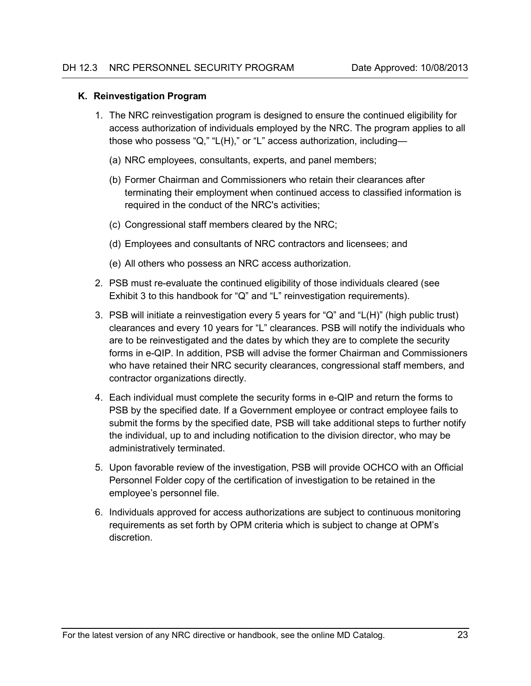#### <span id="page-31-0"></span>**K. Reinvestigation Program**

- 1. The NRC reinvestigation program is designed to ensure the continued eligibility for access authorization of individuals employed by the NRC. The program applies to all those who possess "Q," "L(H)," or "L" access authorization, including—
	- (a) NRC employees, consultants, experts, and panel members;
	- (b) Former Chairman and Commissioners who retain their clearances after terminating their employment when continued access to classified information is required in the conduct of the NRC's activities;
	- (c) Congressional staff members cleared by the NRC;
	- (d) Employees and consultants of NRC contractors and licensees; and
	- (e) All others who possess an NRC access authorization.
- 2. PSB must re-evaluate the continued eligibility of those individuals cleared (see Exhibit 3 to this handbook for "Q" and "L" reinvestigation requirements).
- 3. PSB will initiate a reinvestigation every 5 years for "Q" and "L(H)" (high public trust) clearances and every 10 years for "L" clearances. PSB will notify the individuals who are to be reinvestigated and the dates by which they are to complete the security forms in e-QIP. In addition, PSB will advise the former Chairman and Commissioners who have retained their NRC security clearances, congressional staff members, and contractor organizations directly.
- 4. Each individual must complete the security forms in e-QIP and return the forms to PSB by the specified date. If a Government employee or contract employee fails to submit the forms by the specified date, PSB will take additional steps to further notify the individual, up to and including notification to the division director, who may be administratively terminated.
- 5. Upon favorable review of the investigation, PSB will provide OCHCO with an Official Personnel Folder copy of the certification of investigation to be retained in the employee's personnel file.
- 6. Individuals approved for access authorizations are subject to continuous monitoring requirements as set forth by OPM criteria which is subject to change at OPM's discretion.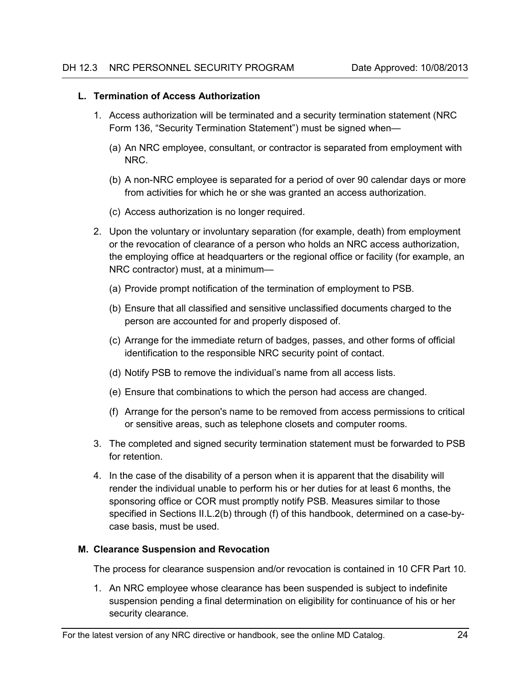#### <span id="page-32-0"></span>**L. Termination of Access Authorization**

- 1. Access authorization will be terminated and a security termination statement (NRC Form 136, "Security Termination Statement") must be signed when—
	- (a) An NRC employee, consultant, or contractor is separated from employment with NRC.
	- (b) A non-NRC employee is separated for a period of over 90 calendar days or more from activities for which he or she was granted an access authorization.
	- (c) Access authorization is no longer required.
- 2. Upon the voluntary or involuntary separation (for example, death) from employment or the revocation of clearance of a person who holds an NRC access authorization, the employing office at headquarters or the regional office or facility (for example, an NRC contractor) must, at a minimum—
	- (a) Provide prompt notification of the termination of employment to PSB.
	- (b) Ensure that all classified and sensitive unclassified documents charged to the person are accounted for and properly disposed of.
	- (c) Arrange for the immediate return of badges, passes, and other forms of official identification to the responsible NRC security point of contact.
	- (d) Notify PSB to remove the individual's name from all access lists.
	- (e) Ensure that combinations to which the person had access are changed.
	- (f) Arrange for the person's name to be removed from access permissions to critical or sensitive areas, such as telephone closets and computer rooms.
- 3. The completed and signed security termination statement must be forwarded to PSB for retention.
- 4. In the case of the disability of a person when it is apparent that the disability will render the individual unable to perform his or her duties for at least 6 months, the sponsoring office or COR must promptly notify PSB. Measures similar to those specified in Sections II.L.2(b) through (f) of this handbook, determined on a case-bycase basis, must be used.

#### <span id="page-32-1"></span>**M. Clearance Suspension and Revocation**

The process for clearance suspension and/or revocation is contained in 10 CFR Part 10.

1. An NRC employee whose clearance has been suspended is subject to indefinite suspension pending a final determination on eligibility for continuance of his or her security clearance.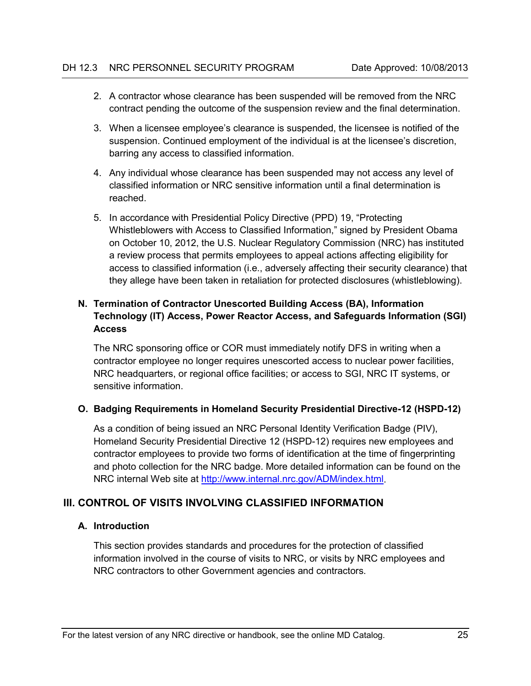- 2. A contractor whose clearance has been suspended will be removed from the NRC contract pending the outcome of the suspension review and the final determination.
- 3. When a licensee employee's clearance is suspended, the licensee is notified of the suspension. Continued employment of the individual is at the licensee's discretion, barring any access to classified information.
- 4. Any individual whose clearance has been suspended may not access any level of classified information or NRC sensitive information until a final determination is reached.
- 5. In accordance with Presidential Policy Directive (PPD) 19, "Protecting Whistleblowers with Access to Classified Information," signed by President Obama on October 10, 2012, the U.S. Nuclear Regulatory Commission (NRC) has instituted a review process that permits employees to appeal actions affecting eligibility for access to classified information (i.e., adversely affecting their security clearance) that they allege have been taken in retaliation for protected disclosures (whistleblowing).

# <span id="page-33-0"></span>**N. Termination of Contractor Unescorted Building Access (BA), Information Technology (IT) Access, Power Reactor Access, and Safeguards Information (SGI) Access**

The NRC sponsoring office or COR must immediately notify DFS in writing when a contractor employee no longer requires unescorted access to nuclear power facilities, NRC headquarters, or regional office facilities; or access to SGI, NRC IT systems, or sensitive information.

# <span id="page-33-1"></span>**O. Badging Requirements in Homeland Security Presidential Directive-12 (HSPD-12)**

As a condition of being issued an NRC Personal Identity Verification Badge (PIV), Homeland Security Presidential Directive 12 (HSPD-12) requires new employees and contractor employees to provide two forms of identification at the time of fingerprinting and photo collection for the NRC badge. More detailed information can be found on the NRC internal Web site at [http://www.internal.nrc.gov/ADM/index.html.](http://www.internal.nrc.gov/ADM/index.html)

# <span id="page-33-2"></span>**III. CONTROL OF VISITS INVOLVING CLASSIFIED INFORMATION**

# <span id="page-33-3"></span>**A. Introduction**

This section provides standards and procedures for the protection of classified information involved in the course of visits to NRC, or visits by NRC employees and NRC contractors to other Government agencies and contractors.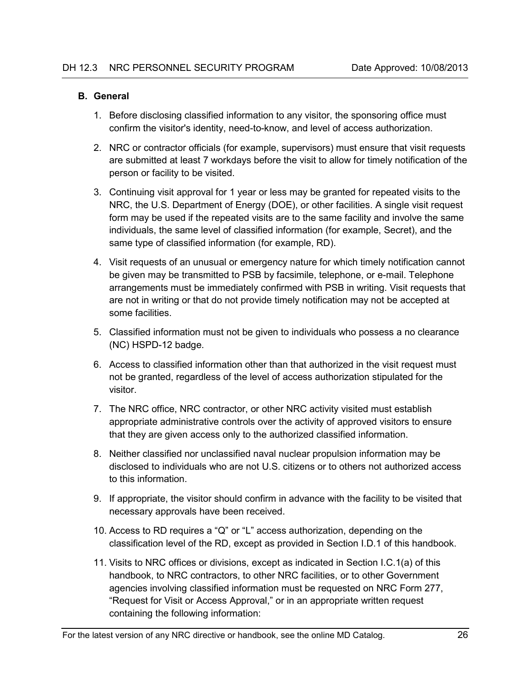#### <span id="page-34-0"></span>**B. General**

- 1. Before disclosing classified information to any visitor, the sponsoring office must confirm the visitor's identity, need-to-know, and level of access authorization.
- 2. NRC or contractor officials (for example, supervisors) must ensure that visit requests are submitted at least 7 workdays before the visit to allow for timely notification of the person or facility to be visited.
- 3. Continuing visit approval for 1 year or less may be granted for repeated visits to the NRC, the U.S. Department of Energy (DOE), or other facilities. A single visit request form may be used if the repeated visits are to the same facility and involve the same individuals, the same level of classified information (for example, Secret), and the same type of classified information (for example, RD).
- 4. Visit requests of an unusual or emergency nature for which timely notification cannot be given may be transmitted to PSB by facsimile, telephone, or e-mail. Telephone arrangements must be immediately confirmed with PSB in writing. Visit requests that are not in writing or that do not provide timely notification may not be accepted at some facilities.
- 5. Classified information must not be given to individuals who possess a no clearance (NC) HSPD-12 badge.
- 6. Access to classified information other than that authorized in the visit request must not be granted, regardless of the level of access authorization stipulated for the visitor.
- 7. The NRC office, NRC contractor, or other NRC activity visited must establish appropriate administrative controls over the activity of approved visitors to ensure that they are given access only to the authorized classified information.
- 8. Neither classified nor unclassified naval nuclear propulsion information may be disclosed to individuals who are not U.S. citizens or to others not authorized access to this information.
- 9. If appropriate, the visitor should confirm in advance with the facility to be visited that necessary approvals have been received.
- 10. Access to RD requires a "Q" or "L" access authorization, depending on the classification level of the RD, except as provided in Section I.D.1 of this handbook.
- 11. Visits to NRC offices or divisions, except as indicated in Section I.C.1(a) of this handbook, to NRC contractors, to other NRC facilities, or to other Government agencies involving classified information must be requested on NRC Form 277, "Request for Visit or Access Approval," or in an appropriate written request containing the following information: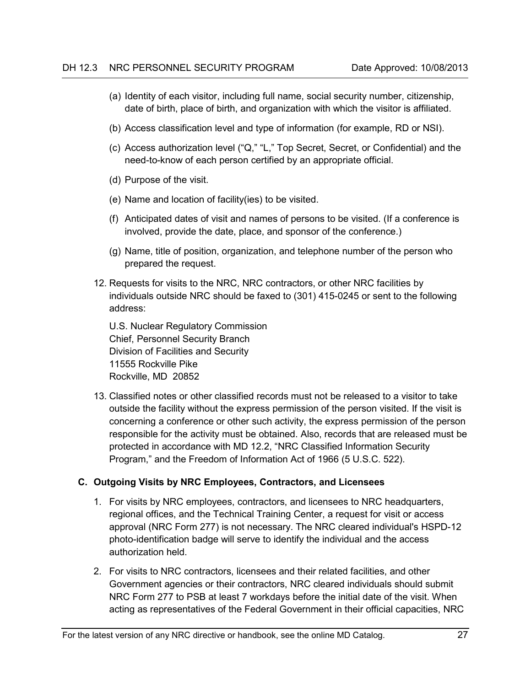- (a) Identity of each visitor, including full name, social security number, citizenship, date of birth, place of birth, and organization with which the visitor is affiliated.
- (b) Access classification level and type of information (for example, RD or NSI).
- (c) Access authorization level ("Q," "L," Top Secret, Secret, or Confidential) and the need-to-know of each person certified by an appropriate official.
- (d) Purpose of the visit.
- (e) Name and location of facility(ies) to be visited.
- (f) Anticipated dates of visit and names of persons to be visited. (If a conference is involved, provide the date, place, and sponsor of the conference.)
- (g) Name, title of position, organization, and telephone number of the person who prepared the request.
- 12. Requests for visits to the NRC, NRC contractors, or other NRC facilities by individuals outside NRC should be faxed to (301) 415-0245 or sent to the following address:

U.S. Nuclear Regulatory Commission Chief, Personnel Security Branch Division of Facilities and Security 11555 Rockville Pike Rockville, MD 20852

13. Classified notes or other classified records must not be released to a visitor to take outside the facility without the express permission of the person visited. If the visit is concerning a conference or other such activity, the express permission of the person responsible for the activity must be obtained. Also, records that are released must be protected in accordance with MD 12.2, "NRC Classified Information Security Program," and the Freedom of Information Act of 1966 (5 U.S.C. 522).

#### <span id="page-35-0"></span>**C. Outgoing Visits by NRC Employees, Contractors, and Licensees**

- 1. For visits by NRC employees, contractors, and licensees to NRC headquarters, regional offices, and the Technical Training Center, a request for visit or access approval (NRC Form 277) is not necessary. The NRC cleared individual's HSPD-12 photo-identification badge will serve to identify the individual and the access authorization held.
- 2. For visits to NRC contractors, licensees and their related facilities, and other Government agencies or their contractors, NRC cleared individuals should submit NRC Form 277 to PSB at least 7 workdays before the initial date of the visit. When acting as representatives of the Federal Government in their official capacities, NRC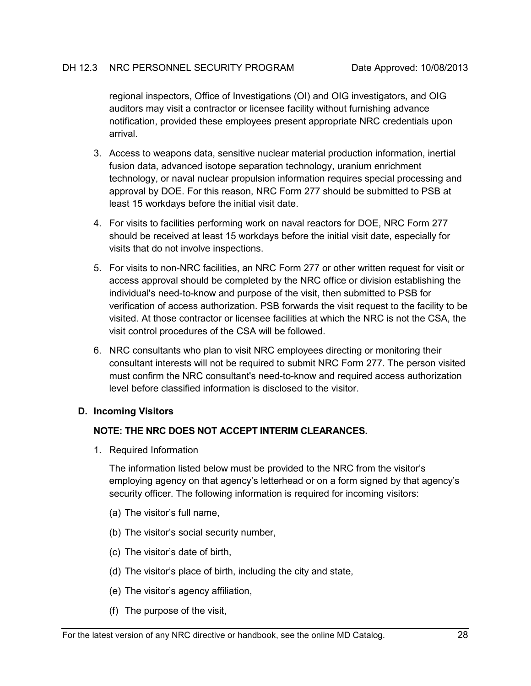regional inspectors, Office of Investigations (OI) and OIG investigators, and OIG auditors may visit a contractor or licensee facility without furnishing advance notification, provided these employees present appropriate NRC credentials upon arrival.

- 3. Access to weapons data, sensitive nuclear material production information, inertial fusion data, advanced isotope separation technology, uranium enrichment technology, or naval nuclear propulsion information requires special processing and approval by DOE. For this reason, NRC Form 277 should be submitted to PSB at least 15 workdays before the initial visit date.
- 4. For visits to facilities performing work on naval reactors for DOE, NRC Form 277 should be received at least 15 workdays before the initial visit date, especially for visits that do not involve inspections.
- 5. For visits to non-NRC facilities, an NRC Form 277 or other written request for visit or access approval should be completed by the NRC office or division establishing the individual's need-to-know and purpose of the visit, then submitted to PSB for verification of access authorization. PSB forwards the visit request to the facility to be visited. At those contractor or licensee facilities at which the NRC is not the CSA, the visit control procedures of the CSA will be followed.
- 6. NRC consultants who plan to visit NRC employees directing or monitoring their consultant interests will not be required to submit NRC Form 277. The person visited must confirm the NRC consultant's need-to-know and required access authorization level before classified information is disclosed to the visitor.

#### <span id="page-36-0"></span>**D. Incoming Visitors**

#### **NOTE: THE NRC DOES NOT ACCEPT INTERIM CLEARANCES.**

1. Required Information

The information listed below must be provided to the NRC from the visitor's employing agency on that agency's letterhead or on a form signed by that agency's security officer. The following information is required for incoming visitors:

- (a) The visitor's full name,
- (b) The visitor's social security number,
- (c) The visitor's date of birth,
- (d) The visitor's place of birth, including the city and state,
- (e) The visitor's agency affiliation,
- (f) The purpose of the visit,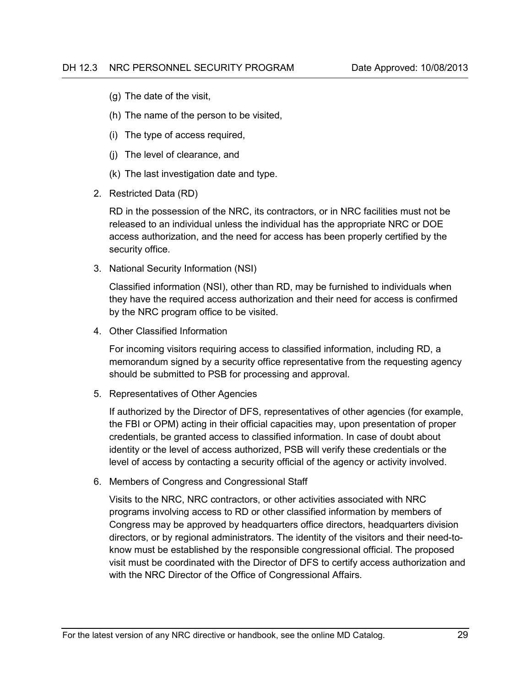- (g) The date of the visit,
- (h) The name of the person to be visited,
- (i) The type of access required,
- (j) The level of clearance, and
- (k) The last investigation date and type.
- 2. Restricted Data (RD)

RD in the possession of the NRC, its contractors, or in NRC facilities must not be released to an individual unless the individual has the appropriate NRC or DOE access authorization, and the need for access has been properly certified by the security office.

3. National Security Information (NSI)

Classified information (NSI), other than RD, may be furnished to individuals when they have the required access authorization and their need for access is confirmed by the NRC program office to be visited.

4. Other Classified Information

For incoming visitors requiring access to classified information, including RD, a memorandum signed by a security office representative from the requesting agency should be submitted to PSB for processing and approval.

5. Representatives of Other Agencies

If authorized by the Director of DFS, representatives of other agencies (for example, the FBI or OPM) acting in their official capacities may, upon presentation of proper credentials, be granted access to classified information. In case of doubt about identity or the level of access authorized, PSB will verify these credentials or the level of access by contacting a security official of the agency or activity involved.

6. Members of Congress and Congressional Staff

Visits to the NRC, NRC contractors, or other activities associated with NRC programs involving access to RD or other classified information by members of Congress may be approved by headquarters office directors, headquarters division directors, or by regional administrators. The identity of the visitors and their need-toknow must be established by the responsible congressional official. The proposed visit must be coordinated with the Director of DFS to certify access authorization and with the NRC Director of the Office of Congressional Affairs.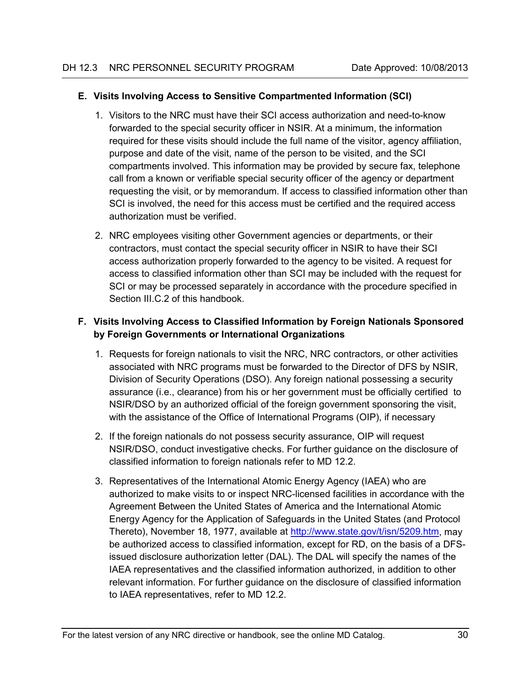### <span id="page-38-0"></span>**E. Visits Involving Access to Sensitive Compartmented Information (SCI)**

- 1. Visitors to the NRC must have their SCI access authorization and need-to-know forwarded to the special security officer in NSIR. At a minimum, the information required for these visits should include the full name of the visitor, agency affiliation, purpose and date of the visit, name of the person to be visited, and the SCI compartments involved. This information may be provided by secure fax, telephone call from a known or verifiable special security officer of the agency or department requesting the visit, or by memorandum. If access to classified information other than SCI is involved, the need for this access must be certified and the required access authorization must be verified.
- 2. NRC employees visiting other Government agencies or departments, or their contractors, must contact the special security officer in NSIR to have their SCI access authorization properly forwarded to the agency to be visited. A request for access to classified information other than SCI may be included with the request for SCI or may be processed separately in accordance with the procedure specified in Section III.C.2 of this handbook.

# <span id="page-38-1"></span>**F. Visits Involving Access to Classified Information by Foreign Nationals Sponsored by Foreign Governments or International Organizations**

- 1. Requests for foreign nationals to visit the NRC, NRC contractors, or other activities associated with NRC programs must be forwarded to the Director of DFS by NSIR, Division of Security Operations (DSO). Any foreign national possessing a security assurance (i.e., clearance) from his or her government must be officially certified to NSIR/DSO by an authorized official of the foreign government sponsoring the visit, with the assistance of the Office of International Programs (OIP), if necessary
- 2. If the foreign nationals do not possess security assurance, OIP will request NSIR/DSO, conduct investigative checks. For further guidance on the disclosure of classified information to foreign nationals refer to MD 12.2.
- 3. Representatives of the International Atomic Energy Agency (IAEA) who are authorized to make visits to or inspect NRC-licensed facilities in accordance with the Agreement Between the United States of America and the International Atomic Energy Agency for the Application of Safeguards in the United States (and Protocol Thereto), November 18, 1977, available at [http://www.state.gov/t/isn/5209.htm,](http://www.state.gov/t/isn/5209.htm) may be authorized access to classified information, except for RD, on the basis of a DFSissued disclosure authorization letter (DAL). The DAL will specify the names of the IAEA representatives and the classified information authorized, in addition to other relevant information. For further guidance on the disclosure of classified information to IAEA representatives, refer to MD 12.2.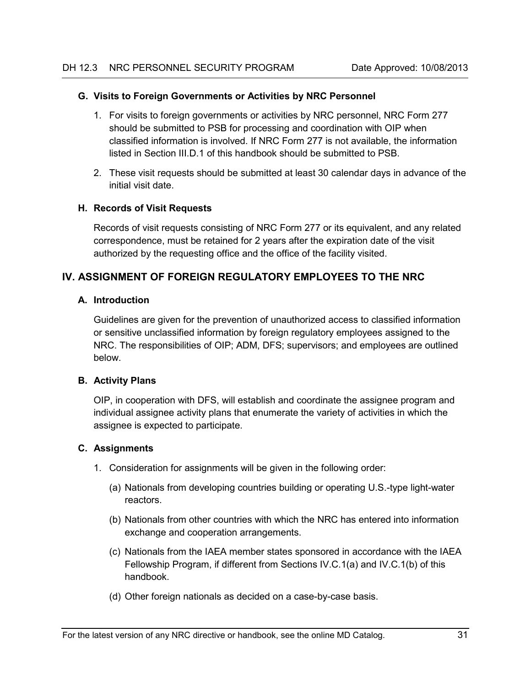#### <span id="page-39-0"></span>**G. Visits to Foreign Governments or Activities by NRC Personnel**

- 1. For visits to foreign governments or activities by NRC personnel, NRC Form 277 should be submitted to PSB for processing and coordination with OIP when classified information is involved. If NRC Form 277 is not available, the information listed in Section III.D.1 of this handbook should be submitted to PSB.
- 2. These visit requests should be submitted at least 30 calendar days in advance of the initial visit date.

#### <span id="page-39-1"></span>**H. Records of Visit Requests**

Records of visit requests consisting of NRC Form 277 or its equivalent, and any related correspondence, must be retained for 2 years after the expiration date of the visit authorized by the requesting office and the office of the facility visited.

# <span id="page-39-3"></span><span id="page-39-2"></span>**IV. ASSIGNMENT OF FOREIGN REGULATORY EMPLOYEES TO THE NRC**

#### **A. Introduction**

Guidelines are given for the prevention of unauthorized access to classified information or sensitive unclassified information by foreign regulatory employees assigned to the NRC. The responsibilities of OIP; ADM, DFS; supervisors; and employees are outlined below.

#### <span id="page-39-4"></span>**B. Activity Plans**

OIP, in cooperation with DFS, will establish and coordinate the assignee program and individual assignee activity plans that enumerate the variety of activities in which the assignee is expected to participate.

#### <span id="page-39-5"></span>**C. Assignments**

- 1. Consideration for assignments will be given in the following order:
	- (a) Nationals from developing countries building or operating U.S.-type light-water reactors.
	- (b) Nationals from other countries with which the NRC has entered into information exchange and cooperation arrangements.
	- (c) Nationals from the IAEA member states sponsored in accordance with the IAEA Fellowship Program, if different from Sections IV.C.1(a) and IV.C.1(b) of this handbook.
	- (d) Other foreign nationals as decided on a case-by-case basis.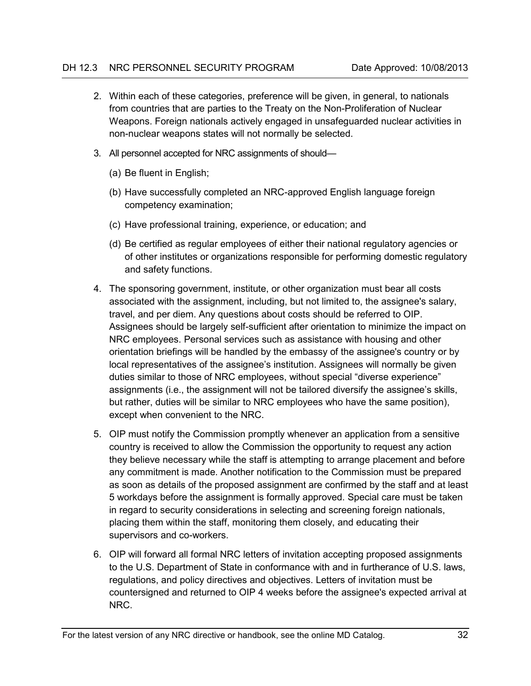- 2. Within each of these categories, preference will be given, in general, to nationals from countries that are parties to the Treaty on the Non-Proliferation of Nuclear Weapons. Foreign nationals actively engaged in unsafeguarded nuclear activities in non-nuclear weapons states will not normally be selected.
- 3. All personnel accepted for NRC assignments of should—
	- (a) Be fluent in English;
	- (b) Have successfully completed an NRC-approved English language foreign competency examination;
	- (c) Have professional training, experience, or education; and
	- (d) Be certified as regular employees of either their national regulatory agencies or of other institutes or organizations responsible for performing domestic regulatory and safety functions.
- 4. The sponsoring government, institute, or other organization must bear all costs associated with the assignment, including, but not limited to, the assignee's salary, travel, and per diem. Any questions about costs should be referred to OIP. Assignees should be largely self-sufficient after orientation to minimize the impact on NRC employees. Personal services such as assistance with housing and other orientation briefings will be handled by the embassy of the assignee's country or by local representatives of the assignee's institution. Assignees will normally be given duties similar to those of NRC employees, without special "diverse experience" assignments (i.e., the assignment will not be tailored diversify the assignee's skills, but rather, duties will be similar to NRC employees who have the same position), except when convenient to the NRC.
- 5. OIP must notify the Commission promptly whenever an application from a sensitive country is received to allow the Commission the opportunity to request any action they believe necessary while the staff is attempting to arrange placement and before any commitment is made. Another notification to the Commission must be prepared as soon as details of the proposed assignment are confirmed by the staff and at least 5 workdays before the assignment is formally approved. Special care must be taken in regard to security considerations in selecting and screening foreign nationals, placing them within the staff, monitoring them closely, and educating their supervisors and co-workers.
- 6. OIP will forward all formal NRC letters of invitation accepting proposed assignments to the U.S. Department of State in conformance with and in furtherance of U.S. laws, regulations, and policy directives and objectives. Letters of invitation must be countersigned and returned to OIP 4 weeks before the assignee's expected arrival at NRC.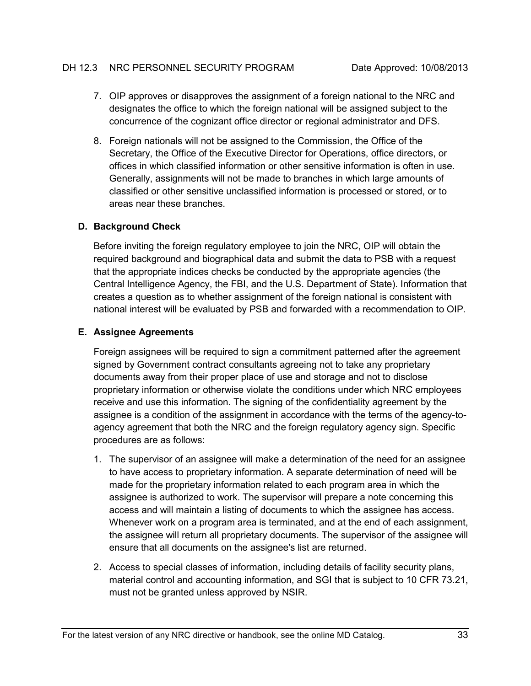- 7. OIP approves or disapproves the assignment of a foreign national to the NRC and designates the office to which the foreign national will be assigned subject to the concurrence of the cognizant office director or regional administrator and DFS.
- 8. Foreign nationals will not be assigned to the Commission, the Office of the Secretary, the Office of the Executive Director for Operations, office directors, or offices in which classified information or other sensitive information is often in use. Generally, assignments will not be made to branches in which large amounts of classified or other sensitive unclassified information is processed or stored, or to areas near these branches.

# <span id="page-41-0"></span>**D. Background Check**

Before inviting the foreign regulatory employee to join the NRC, OIP will obtain the required background and biographical data and submit the data to PSB with a request that the appropriate indices checks be conducted by the appropriate agencies (the Central Intelligence Agency, the FBI, and the U.S. Department of State). Information that creates a question as to whether assignment of the foreign national is consistent with national interest will be evaluated by PSB and forwarded with a recommendation to OIP.

### <span id="page-41-1"></span>**E. Assignee Agreements**

Foreign assignees will be required to sign a commitment patterned after the agreement signed by Government contract consultants agreeing not to take any proprietary documents away from their proper place of use and storage and not to disclose proprietary information or otherwise violate the conditions under which NRC employees receive and use this information. The signing of the confidentiality agreement by the assignee is a condition of the assignment in accordance with the terms of the agency-toagency agreement that both the NRC and the foreign regulatory agency sign. Specific procedures are as follows:

- 1. The supervisor of an assignee will make a determination of the need for an assignee to have access to proprietary information. A separate determination of need will be made for the proprietary information related to each program area in which the assignee is authorized to work. The supervisor will prepare a note concerning this access and will maintain a listing of documents to which the assignee has access. Whenever work on a program area is terminated, and at the end of each assignment, the assignee will return all proprietary documents. The supervisor of the assignee will ensure that all documents on the assignee's list are returned.
- 2. Access to special classes of information, including details of facility security plans, material control and accounting information, and SGI that is subject to 10 CFR 73.21, must not be granted unless approved by NSIR.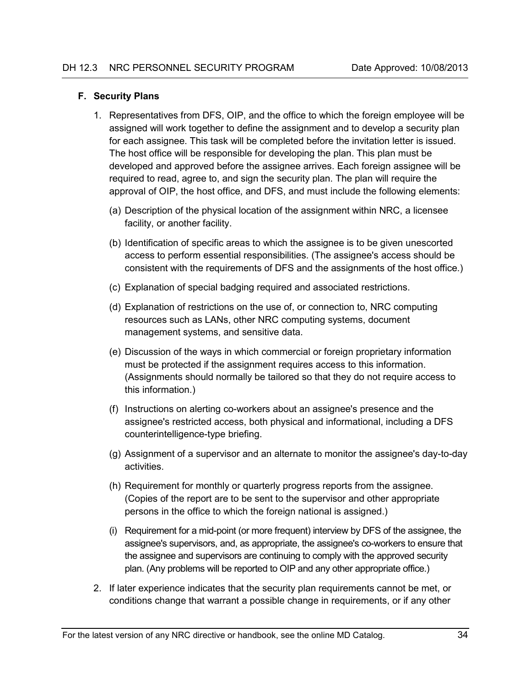#### <span id="page-42-0"></span>**F. Security Plans**

- 1. Representatives from DFS, OIP, and the office to which the foreign employee will be assigned will work together to define the assignment and to develop a security plan for each assignee. This task will be completed before the invitation letter is issued. The host office will be responsible for developing the plan. This plan must be developed and approved before the assignee arrives. Each foreign assignee will be required to read, agree to, and sign the security plan. The plan will require the approval of OIP, the host office, and DFS, and must include the following elements:
	- (a) Description of the physical location of the assignment within NRC, a licensee facility, or another facility.
	- (b) Identification of specific areas to which the assignee is to be given unescorted access to perform essential responsibilities. (The assignee's access should be consistent with the requirements of DFS and the assignments of the host office.)
	- (c) Explanation of special badging required and associated restrictions.
	- (d) Explanation of restrictions on the use of, or connection to, NRC computing resources such as LANs, other NRC computing systems, document management systems, and sensitive data.
	- (e) Discussion of the ways in which commercial or foreign proprietary information must be protected if the assignment requires access to this information. (Assignments should normally be tailored so that they do not require access to this information.)
	- (f) Instructions on alerting co-workers about an assignee's presence and the assignee's restricted access, both physical and informational, including a DFS counterintelligence-type briefing.
	- (g) Assignment of a supervisor and an alternate to monitor the assignee's day-to-day activities.
	- (h) Requirement for monthly or quarterly progress reports from the assignee. (Copies of the report are to be sent to the supervisor and other appropriate persons in the office to which the foreign national is assigned.)
	- (i) Requirement for a mid-point (or more frequent) interview by DFS of the assignee, the assignee's supervisors, and, as appropriate, the assignee's co-workers to ensure that the assignee and supervisors are continuing to comply with the approved security plan. (Any problems will be reported to OIP and any other appropriate office.)
- 2. If later experience indicates that the security plan requirements cannot be met, or conditions change that warrant a possible change in requirements, or if any other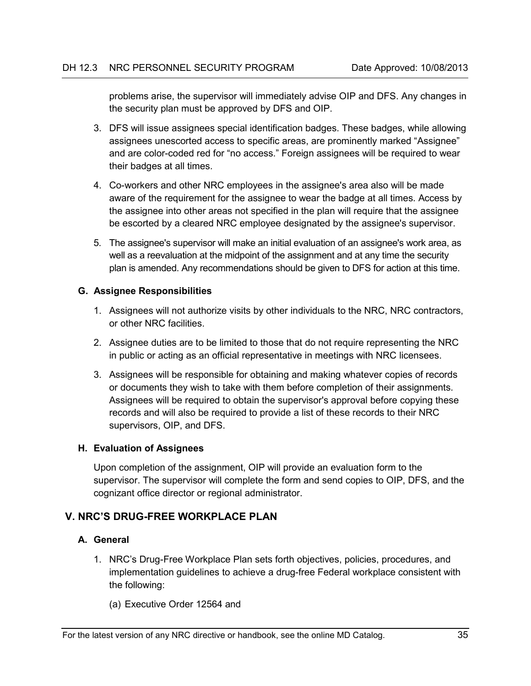problems arise, the supervisor will immediately advise OIP and DFS. Any changes in the security plan must be approved by DFS and OIP.

- 3. DFS will issue assignees special identification badges. These badges, while allowing assignees unescorted access to specific areas, are prominently marked "Assignee" and are color-coded red for "no access." Foreign assignees will be required to wear their badges at all times.
- 4. Co-workers and other NRC employees in the assignee's area also will be made aware of the requirement for the assignee to wear the badge at all times. Access by the assignee into other areas not specified in the plan will require that the assignee be escorted by a cleared NRC employee designated by the assignee's supervisor.
- 5. The assignee's supervisor will make an initial evaluation of an assignee's work area, as well as a reevaluation at the midpoint of the assignment and at any time the security plan is amended. Any recommendations should be given to DFS for action at this time.

### <span id="page-43-0"></span>**G. Assignee Responsibilities**

- 1. Assignees will not authorize visits by other individuals to the NRC, NRC contractors, or other NRC facilities.
- 2. Assignee duties are to be limited to those that do not require representing the NRC in public or acting as an official representative in meetings with NRC licensees.
- 3. Assignees will be responsible for obtaining and making whatever copies of records or documents they wish to take with them before completion of their assignments. Assignees will be required to obtain the supervisor's approval before copying these records and will also be required to provide a list of these records to their NRC supervisors, OIP, and DFS.

#### <span id="page-43-1"></span>**H. Evaluation of Assignees**

Upon completion of the assignment, OIP will provide an evaluation form to the supervisor. The supervisor will complete the form and send copies to OIP, DFS, and the cognizant office director or regional administrator.

# <span id="page-43-3"></span><span id="page-43-2"></span>**V. NRC'S DRUG-FREE WORKPLACE PLAN**

# **A. General**

1. NRC's Drug-Free Workplace Plan sets forth objectives, policies, procedures, and implementation guidelines to achieve a drug-free Federal workplace consistent with the following:

(a) Executive Order 12564 and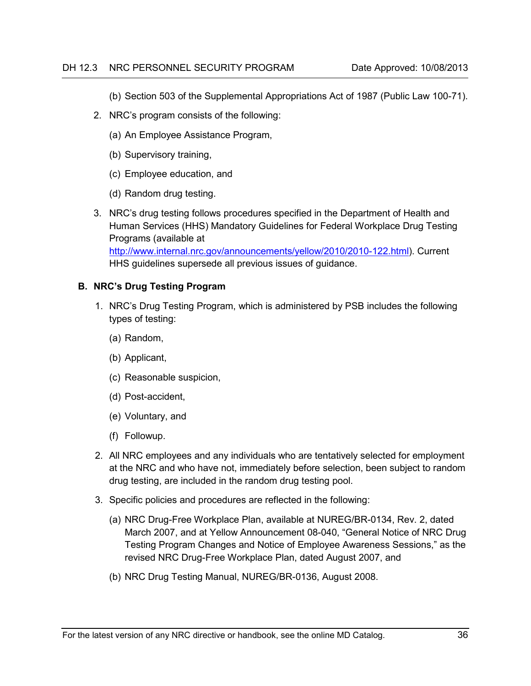(b) Section 503 of the Supplemental Appropriations Act of 1987 (Public Law 100-71).

- 2. NRC's program consists of the following:
	- (a) An Employee Assistance Program,
	- (b) Supervisory training,
	- (c) Employee education, and
	- (d) Random drug testing.
- 3. NRC's drug testing follows procedures specified in the Department of Health and Human Services (HHS) Mandatory Guidelines for Federal Workplace Drug Testing Programs (available at [http://www.internal.nrc.gov/announcements/yellow/2010/2010-122.html\)](http://www.internal.nrc.gov/announcements/yellow/2010/2010-122.html). Current HHS guidelines supersede all previous issues of guidance.

### <span id="page-44-0"></span>**B. NRC's Drug Testing Program**

- 1. NRC's Drug Testing Program, which is administered by PSB includes the following types of testing:
	- (a) Random,
	- (b) Applicant,
	- (c) Reasonable suspicion,
	- (d) Post-accident,
	- (e) Voluntary, and
	- (f) Followup.
- 2. All NRC employees and any individuals who are tentatively selected for employment at the NRC and who have not, immediately before selection, been subject to random drug testing, are included in the random drug testing pool.
- 3. Specific policies and procedures are reflected in the following:
	- (a) NRC Drug-Free Workplace Plan, available at NUREG/BR-0134, Rev. 2, dated March 2007, and at Yellow Announcement 08-040, "General Notice of NRC Drug Testing Program Changes and Notice of Employee Awareness Sessions," as the revised NRC Drug-Free Workplace Plan, dated August 2007, and
	- (b) NRC Drug Testing Manual, NUREG/BR-0136, August 2008.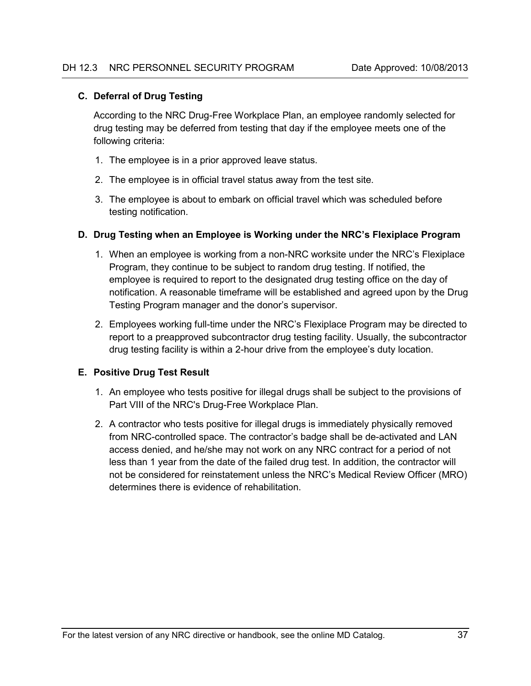#### <span id="page-45-0"></span>**C. Deferral of Drug Testing**

According to the NRC Drug-Free Workplace Plan, an employee randomly selected for drug testing may be deferred from testing that day if the employee meets one of the following criteria:

- 1. The employee is in a prior approved leave status.
- 2. The employee is in official travel status away from the test site.
- 3. The employee is about to embark on official travel which was scheduled before testing notification.

#### <span id="page-45-1"></span>**D. Drug Testing when an Employee is Working under the NRC's Flexiplace Program**

- 1. When an employee is working from a non-NRC worksite under the NRC's Flexiplace Program, they continue to be subject to random drug testing. If notified, the employee is required to report to the designated drug testing office on the day of notification. A reasonable timeframe will be established and agreed upon by the Drug Testing Program manager and the donor's supervisor.
- 2. Employees working full-time under the NRC's Flexiplace Program may be directed to report to a preapproved subcontractor drug testing facility. Usually, the subcontractor drug testing facility is within a 2-hour drive from the employee's duty location.

#### <span id="page-45-2"></span>**E. Positive Drug Test Result**

- 1. An employee who tests positive for illegal drugs shall be subject to the provisions of Part VIII of the NRC's Drug-Free Workplace Plan.
- 2. A contractor who tests positive for illegal drugs is immediately physically removed from NRC-controlled space. The contractor's badge shall be de-activated and LAN access denied, and he/she may not work on any NRC contract for a period of not less than 1 year from the date of the failed drug test. In addition, the contractor will not be considered for reinstatement unless the NRC's Medical Review Officer (MRO) determines there is evidence of rehabilitation.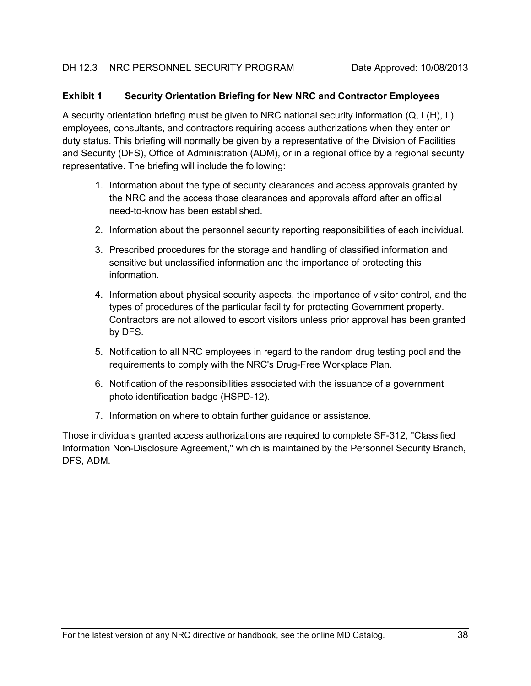#### <span id="page-46-0"></span>**Exhibit 1 Security Orientation Briefing for New NRC and Contractor Employees**

A security orientation briefing must be given to NRC national security information (Q, L(H), L) employees, consultants, and contractors requiring access authorizations when they enter on duty status. This briefing will normally be given by a representative of the Division of Facilities and Security (DFS), Office of Administration (ADM), or in a regional office by a regional security representative. The briefing will include the following:

- 1. Information about the type of security clearances and access approvals granted by the NRC and the access those clearances and approvals afford after an official need-to-know has been established.
- 2. Information about the personnel security reporting responsibilities of each individual.
- 3. Prescribed procedures for the storage and handling of classified information and sensitive but unclassified information and the importance of protecting this information.
- 4. Information about physical security aspects, the importance of visitor control, and the types of procedures of the particular facility for protecting Government property. Contractors are not allowed to escort visitors unless prior approval has been granted by DFS.
- 5. Notification to all NRC employees in regard to the random drug testing pool and the requirements to comply with the NRC's Drug-Free Workplace Plan.
- 6. Notification of the responsibilities associated with the issuance of a government photo identification badge (HSPD-12).
- 7. Information on where to obtain further guidance or assistance.

Those individuals granted access authorizations are required to complete SF-312, "Classified Information Non-Disclosure Agreement," which is maintained by the Personnel Security Branch, DFS, ADM.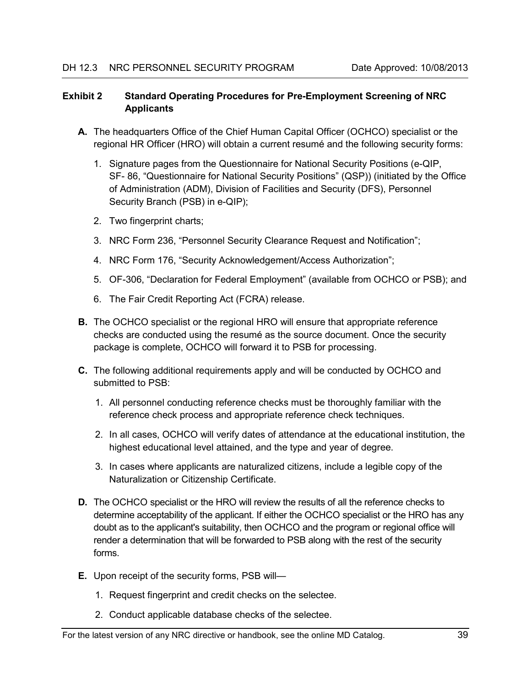### <span id="page-47-0"></span>**Exhibit 2 Standard Operating Procedures for Pre-Employment Screening of NRC Applicants**

- **A.** The headquarters Office of the Chief Human Capital Officer (OCHCO) specialist or the regional HR Officer (HRO) will obtain a current resumé and the following security forms:
	- 1. Signature pages from the Questionnaire for National Security Positions (e-QIP, SF- 86, "Questionnaire for National Security Positions" (QSP)) (initiated by the Office of Administration (ADM), Division of Facilities and Security (DFS), Personnel Security Branch (PSB) in e-QIP);
	- 2. Two fingerprint charts;
	- 3. NRC Form 236, "Personnel Security Clearance Request and Notification";
	- 4. NRC Form 176, "Security Acknowledgement/Access Authorization";
	- 5. OF-306, "Declaration for Federal Employment" (available from OCHCO or PSB); and
	- 6. The Fair Credit Reporting Act (FCRA) release.
- **B.** The OCHCO specialist or the regional HRO will ensure that appropriate reference checks are conducted using the resumé as the source document. Once the security package is complete, OCHCO will forward it to PSB for processing.
- **C.** The following additional requirements apply and will be conducted by OCHCO and submitted to PSB:
	- 1. All personnel conducting reference checks must be thoroughly familiar with the reference check process and appropriate reference check techniques.
	- 2. In all cases, OCHCO will verify dates of attendance at the educational institution, the highest educational level attained, and the type and year of degree.
	- 3. In cases where applicants are naturalized citizens, include a legible copy of the Naturalization or Citizenship Certificate.
- **D.** The OCHCO specialist or the HRO will review the results of all the reference checks to determine acceptability of the applicant. If either the OCHCO specialist or the HRO has any doubt as to the applicant's suitability, then OCHCO and the program or regional office will render a determination that will be forwarded to PSB along with the rest of the security forms.
- **E.** Upon receipt of the security forms, PSB will—
	- 1. Request fingerprint and credit checks on the selectee.
	- 2. Conduct applicable database checks of the selectee.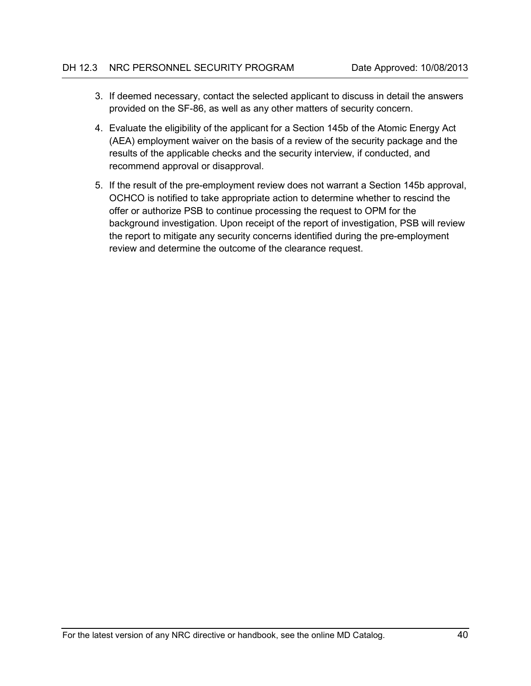- 3. If deemed necessary, contact the selected applicant to discuss in detail the answers provided on the SF-86, as well as any other matters of security concern.
- 4. Evaluate the eligibility of the applicant for a Section 145b of the Atomic Energy Act (AEA) employment waiver on the basis of a review of the security package and the results of the applicable checks and the security interview, if conducted, and recommend approval or disapproval.
- 5. If the result of the pre-employment review does not warrant a Section 145b approval, OCHCO is notified to take appropriate action to determine whether to rescind the offer or authorize PSB to continue processing the request to OPM for the background investigation. Upon receipt of the report of investigation, PSB will review the report to mitigate any security concerns identified during the pre-employment review and determine the outcome of the clearance request.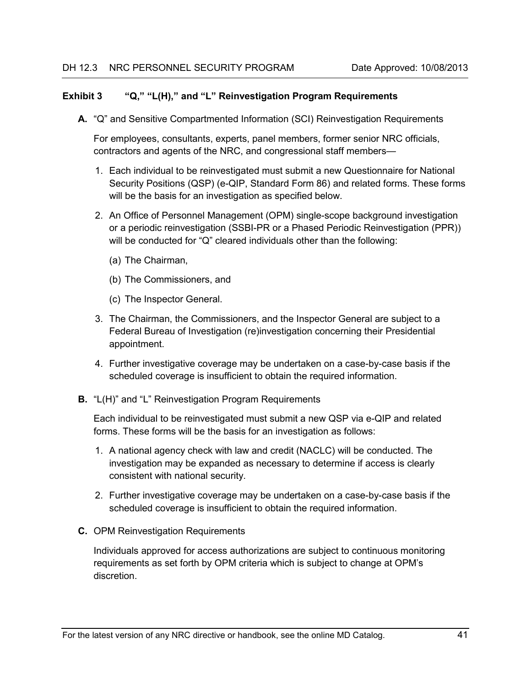#### <span id="page-49-0"></span>**Exhibit 3 "Q," "L(H)," and "L" Reinvestigation Program Requirements**

**A.** "Q" and Sensitive Compartmented Information (SCI) Reinvestigation Requirements

For employees, consultants, experts, panel members, former senior NRC officials, contractors and agents of the NRC, and congressional staff members—

- 1. Each individual to be reinvestigated must submit a new Questionnaire for National Security Positions (QSP) (e-QIP, Standard Form 86) and related forms. These forms will be the basis for an investigation as specified below.
- 2. An Office of Personnel Management (OPM) single-scope background investigation or a periodic reinvestigation (SSBI-PR or a Phased Periodic Reinvestigation (PPR)) will be conducted for "Q" cleared individuals other than the following:
	- (a) The Chairman,
	- (b) The Commissioners, and
	- (c) The Inspector General.
- 3. The Chairman, the Commissioners, and the Inspector General are subject to a Federal Bureau of Investigation (re)investigation concerning their Presidential appointment.
- 4. Further investigative coverage may be undertaken on a case-by-case basis if the scheduled coverage is insufficient to obtain the required information.
- **B.** "L(H)" and "L" Reinvestigation Program Requirements

Each individual to be reinvestigated must submit a new QSP via e-QIP and related forms. These forms will be the basis for an investigation as follows:

- 1. A national agency check with law and credit (NACLC) will be conducted. The investigation may be expanded as necessary to determine if access is clearly consistent with national security.
- 2. Further investigative coverage may be undertaken on a case-by-case basis if the scheduled coverage is insufficient to obtain the required information.
- **C.** OPM Reinvestigation Requirements

Individuals approved for access authorizations are subject to continuous monitoring requirements as set forth by OPM criteria which is subject to change at OPM's discretion.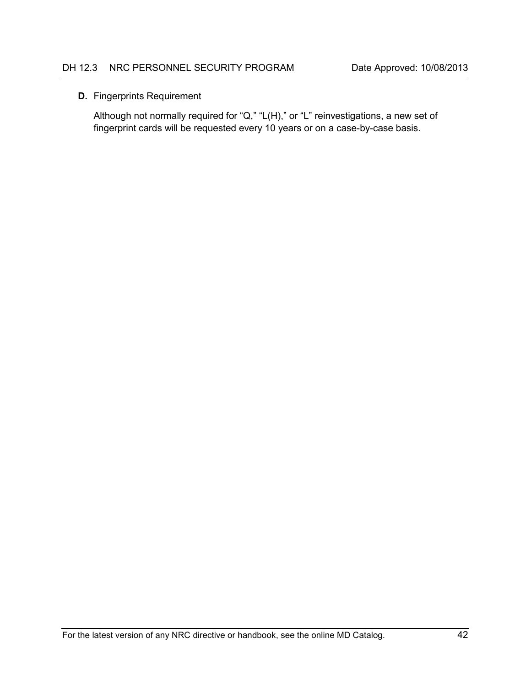### **D.** Fingerprints Requirement

Although not normally required for "Q," "L(H)," or "L" reinvestigations, a new set of fingerprint cards will be requested every 10 years or on a case-by-case basis.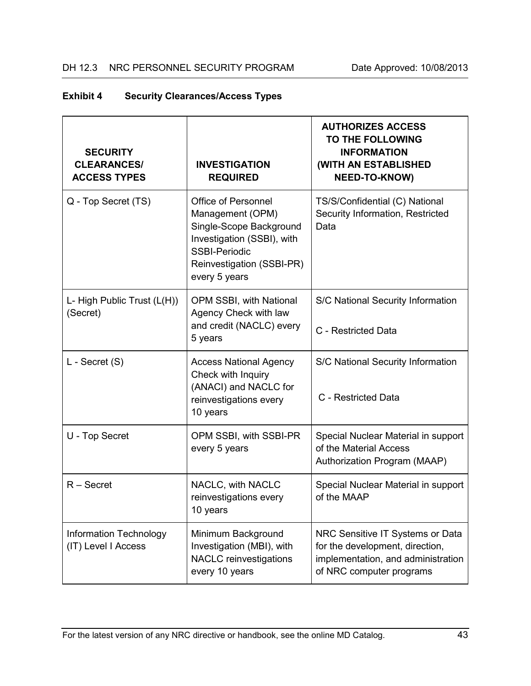<span id="page-51-0"></span>

| <b>Exhibit 4</b> | <b>Security Clearances/Access Types</b> |  |
|------------------|-----------------------------------------|--|
|------------------|-----------------------------------------|--|

| <b>SECURITY</b><br><b>CLEARANCES/</b><br><b>ACCESS TYPES</b> | <b>INVESTIGATION</b><br><b>REQUIRED</b>                                                                                                                                       | <b>AUTHORIZES ACCESS</b><br>TO THE FOLLOWING<br><b>INFORMATION</b><br>(WITH AN ESTABLISHED<br><b>NEED-TO-KNOW)</b>                    |
|--------------------------------------------------------------|-------------------------------------------------------------------------------------------------------------------------------------------------------------------------------|---------------------------------------------------------------------------------------------------------------------------------------|
| Q - Top Secret (TS)                                          | <b>Office of Personnel</b><br>Management (OPM)<br>Single-Scope Background<br>Investigation (SSBI), with<br><b>SSBI-Periodic</b><br>Reinvestigation (SSBI-PR)<br>every 5 years | TS/S/Confidential (C) National<br>Security Information, Restricted<br>Data                                                            |
| L- High Public Trust (L(H))<br>(Secret)                      | OPM SSBI, with National<br>Agency Check with law<br>and credit (NACLC) every<br>5 years                                                                                       | S/C National Security Information<br>C - Restricted Data                                                                              |
| L - Secret (S)                                               | <b>Access National Agency</b><br>Check with Inquiry<br>(ANACI) and NACLC for<br>reinvestigations every<br>10 years                                                            | S/C National Security Information<br>C - Restricted Data                                                                              |
| U - Top Secret                                               | OPM SSBI, with SSBI-PR<br>every 5 years                                                                                                                                       | Special Nuclear Material in support<br>of the Material Access<br>Authorization Program (MAAP)                                         |
| $R -$ Secret                                                 | NACLC, with NACLC<br>reinvestigations every<br>10 years                                                                                                                       | Special Nuclear Material in support<br>of the MAAP                                                                                    |
| <b>Information Technology</b><br>(IT) Level I Access         | Minimum Background<br>Investigation (MBI), with<br><b>NACLC</b> reinvestigations<br>every 10 years                                                                            | NRC Sensitive IT Systems or Data<br>for the development, direction,<br>implementation, and administration<br>of NRC computer programs |